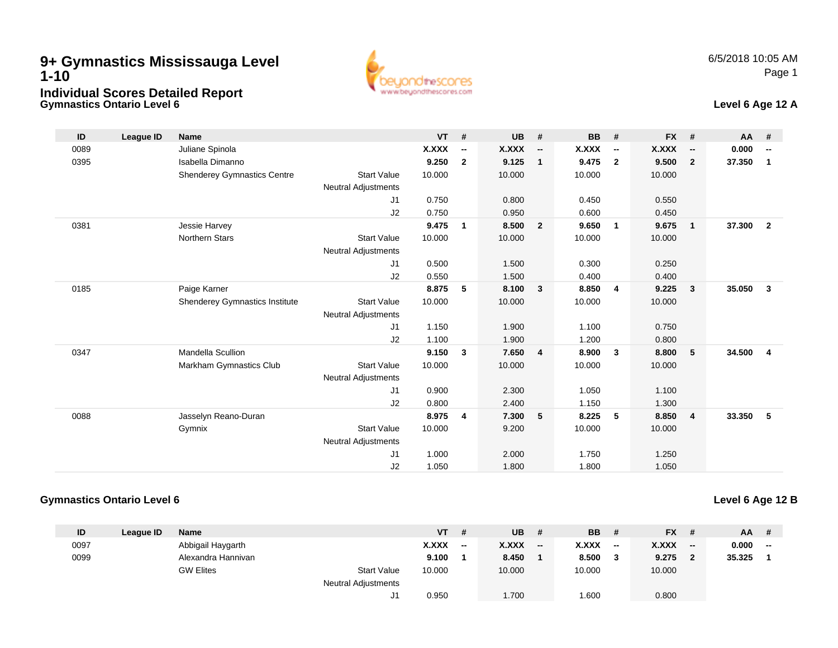### **Gymnastics Ontario Level 69+ Gymnastics Mississauga Level 1-10Individual Scores Detailed Report**





| ID   | League ID | <b>Name</b>                           |                            | $VT$ # |                          | <b>UB</b> | #                        | <b>BB</b> | #                        | $FX$ # |                          | <b>AA</b> | #                        |
|------|-----------|---------------------------------------|----------------------------|--------|--------------------------|-----------|--------------------------|-----------|--------------------------|--------|--------------------------|-----------|--------------------------|
| 0089 |           | Juliane Spinola                       |                            | X.XXX  | $\overline{\phantom{a}}$ | X.XXX     | $\overline{\phantom{a}}$ | X.XXX     | $\overline{\phantom{a}}$ | X.XXX  | $\overline{\phantom{a}}$ | 0.000     | $\overline{\phantom{a}}$ |
| 0395 |           | Isabella Dimanno                      |                            | 9.250  | $\overline{2}$           | 9.125     | $\overline{1}$           | 9.475     | $\overline{\mathbf{2}}$  | 9.500  | $\overline{2}$           | 37.350    | $\overline{1}$           |
|      |           | <b>Shenderey Gymnastics Centre</b>    | <b>Start Value</b>         | 10.000 |                          | 10.000    |                          | 10.000    |                          | 10.000 |                          |           |                          |
|      |           |                                       | <b>Neutral Adjustments</b> |        |                          |           |                          |           |                          |        |                          |           |                          |
|      |           |                                       | J1                         | 0.750  |                          | 0.800     |                          | 0.450     |                          | 0.550  |                          |           |                          |
|      |           |                                       | J2                         | 0.750  |                          | 0.950     |                          | 0.600     |                          | 0.450  |                          |           |                          |
| 0381 |           | Jessie Harvey                         |                            | 9.475  | $\mathbf{1}$             | 8.500     | $\overline{\mathbf{2}}$  | 9.650     | $\mathbf{1}$             | 9.675  | $\mathbf{1}$             | 37.300    | $\overline{2}$           |
|      |           | <b>Northern Stars</b>                 | <b>Start Value</b>         | 10.000 |                          | 10.000    |                          | 10.000    |                          | 10.000 |                          |           |                          |
|      |           |                                       | <b>Neutral Adjustments</b> |        |                          |           |                          |           |                          |        |                          |           |                          |
|      |           |                                       | J1                         | 0.500  |                          | 1.500     |                          | 0.300     |                          | 0.250  |                          |           |                          |
|      |           |                                       | J2                         | 0.550  |                          | 1.500     |                          | 0.400     |                          | 0.400  |                          |           |                          |
| 0185 |           | Paige Karner                          |                            | 8.875  | 5                        | 8.100     | $\overline{\mathbf{3}}$  | 8.850     | $\overline{4}$           | 9.225  | $\mathbf{3}$             | 35.050    | $\mathbf{3}$             |
|      |           | <b>Shenderey Gymnastics Institute</b> | <b>Start Value</b>         | 10.000 |                          | 10.000    |                          | 10.000    |                          | 10.000 |                          |           |                          |
|      |           |                                       | <b>Neutral Adjustments</b> |        |                          |           |                          |           |                          |        |                          |           |                          |
|      |           |                                       | J <sub>1</sub>             | 1.150  |                          | 1.900     |                          | 1.100     |                          | 0.750  |                          |           |                          |
|      |           |                                       | J2                         | 1.100  |                          | 1.900     |                          | 1.200     |                          | 0.800  |                          |           |                          |
| 0347 |           | <b>Mandella Scullion</b>              |                            | 9.150  | $\mathbf{3}$             | 7.650     | $\overline{4}$           | 8.900     | 3                        | 8.800  | $5\phantom{.0}$          | 34.500    | $\overline{4}$           |
|      |           | Markham Gymnastics Club               | <b>Start Value</b>         | 10.000 |                          | 10.000    |                          | 10.000    |                          | 10.000 |                          |           |                          |
|      |           |                                       | <b>Neutral Adjustments</b> |        |                          |           |                          |           |                          |        |                          |           |                          |
|      |           |                                       | J <sub>1</sub>             | 0.900  |                          | 2.300     |                          | 1.050     |                          | 1.100  |                          |           |                          |
|      |           |                                       | J2                         | 0.800  |                          | 2.400     |                          | 1.150     |                          | 1.300  |                          |           |                          |
| 0088 |           | Jasselyn Reano-Duran                  |                            | 8.975  | 4                        | 7.300     | 5                        | 8.225     | 5                        | 8.850  | $\overline{4}$           | 33.350    | 5                        |
|      |           | Gymnix                                | <b>Start Value</b>         | 10.000 |                          | 9.200     |                          | 10.000    |                          | 10.000 |                          |           |                          |
|      |           |                                       | <b>Neutral Adjustments</b> |        |                          |           |                          |           |                          |        |                          |           |                          |
|      |           |                                       | J <sub>1</sub>             | 1.000  |                          | 2.000     |                          | 1.750     |                          | 1.250  |                          |           |                          |
|      |           |                                       | J2                         | 1.050  |                          | 1.800     |                          | 1.800     |                          | 1.050  |                          |           |                          |

#### **Gymnastics Ontario Level 6**

### **Level 6 Age 12 B**

| ID   | League ID | Name               |                            | VT           | #                        | <b>UB</b>    | #   | <b>BB</b>    | #   | $FX$ #       |       | $AA$ # |     |
|------|-----------|--------------------|----------------------------|--------------|--------------------------|--------------|-----|--------------|-----|--------------|-------|--------|-----|
| 0097 |           | Abbigail Haygarth  |                            | <b>X.XXX</b> | $\overline{\phantom{a}}$ | <b>X.XXX</b> | $-$ | <b>X.XXX</b> | $-$ | <b>X.XXX</b> | $- -$ | 0.000  | $-$ |
| 0099 |           | Alexandra Hannivan |                            | 9.100        |                          | 8.450        |     | 8.500        |     | 9.275        |       | 35.325 |     |
|      |           | <b>GW Elites</b>   | <b>Start Value</b>         | 10.000       |                          | 10.000       |     | 10.000       |     | 10.000       |       |        |     |
|      |           |                    | <b>Neutral Adjustments</b> |              |                          |              |     |              |     |              |       |        |     |
|      |           |                    |                            | 0.950        |                          | 1.700        |     | 1.600        |     | 0.800        |       |        |     |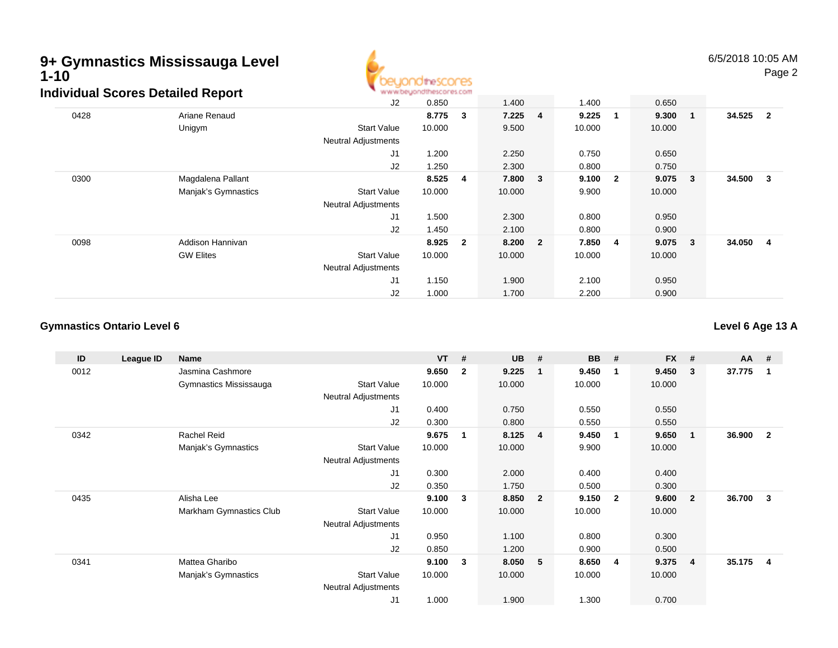

|      | idividual Scores Detalled Report |                            | <b>M.M.MCAMANI INTERNATI ILIYOTTI</b> |                         |           |        |                         |        |                         |        |                         |
|------|----------------------------------|----------------------------|---------------------------------------|-------------------------|-----------|--------|-------------------------|--------|-------------------------|--------|-------------------------|
|      |                                  | J2                         | 0.850                                 |                         | 1.400     | 1.400  |                         | 0.650  |                         |        |                         |
| 0428 | Ariane Renaud                    |                            | 8.775                                 | 3                       | $7.225$ 4 | 9.225  | -1                      | 9.300  | $\overline{\mathbf{1}}$ | 34.525 | $\overline{\mathbf{2}}$ |
|      | Unigym                           | <b>Start Value</b>         | 10.000                                |                         | 9.500     | 10.000 |                         | 10.000 |                         |        |                         |
|      |                                  | <b>Neutral Adjustments</b> |                                       |                         |           |        |                         |        |                         |        |                         |
|      |                                  | J <sub>1</sub>             | 1.200                                 |                         | 2.250     | 0.750  |                         | 0.650  |                         |        |                         |
|      |                                  | J2                         | 1.250                                 |                         | 2.300     | 0.800  |                         | 0.750  |                         |        |                         |
| 0300 | Magdalena Pallant                |                            | 8.525                                 | 4                       | 7.800 3   | 9.100  | $\overline{\mathbf{2}}$ | 9.075  | $\overline{\mathbf{3}}$ | 34.500 | $_{3}$                  |
|      | Manjak's Gymnastics              | <b>Start Value</b>         | 10.000                                |                         | 10.000    | 9.900  |                         | 10.000 |                         |        |                         |
|      |                                  | <b>Neutral Adjustments</b> |                                       |                         |           |        |                         |        |                         |        |                         |
|      |                                  | J1                         | 1.500                                 |                         | 2.300     | 0.800  |                         | 0.950  |                         |        |                         |
|      |                                  | J2                         | 1.450                                 |                         | 2.100     | 0.800  |                         | 0.900  |                         |        |                         |
| 0098 | Addison Hannivan                 |                            | 8.925                                 | $\overline{\mathbf{2}}$ | 8.200 2   | 7.850  | 4                       | 9.075  | $\mathbf{3}$            | 34.050 | $\overline{4}$          |
|      | <b>GW Elites</b>                 | <b>Start Value</b>         | 10.000                                |                         | 10.000    | 10.000 |                         | 10.000 |                         |        |                         |
|      |                                  | <b>Neutral Adjustments</b> |                                       |                         |           |        |                         |        |                         |        |                         |
|      |                                  | J1                         | 1.150                                 |                         | 1.900     | 2.100  |                         | 0.950  |                         |        |                         |
|      |                                  | J2                         | 1.000                                 |                         | 1.700     | 2.200  |                         | 0.900  |                         |        |                         |

### **Gymnastics Ontario Level 6**

**Level 6 Age 13 A**

| ID   | League ID | Name                    |                            | <b>VT</b> | #                       | <b>UB</b> | #                       | <b>BB</b> | #              | <b>FX</b> | #              | $AA$ # |                |
|------|-----------|-------------------------|----------------------------|-----------|-------------------------|-----------|-------------------------|-----------|----------------|-----------|----------------|--------|----------------|
| 0012 |           | Jasmina Cashmore        |                            | 9.650     | $\overline{2}$          | 9.225     | -1                      | 9.450     | $\mathbf 1$    | 9.450     | 3              | 37.775 |                |
|      |           | Gymnastics Mississauga  | <b>Start Value</b>         | 10.000    |                         | 10.000    |                         | 10.000    |                | 10.000    |                |        |                |
|      |           |                         | <b>Neutral Adjustments</b> |           |                         |           |                         |           |                |           |                |        |                |
|      |           |                         | J1                         | 0.400     |                         | 0.750     |                         | 0.550     |                | 0.550     |                |        |                |
|      |           |                         | J2                         | 0.300     |                         | 0.800     |                         | 0.550     |                | 0.550     |                |        |                |
| 0342 |           | Rachel Reid             |                            | 9.675     | $\overline{\mathbf{1}}$ | 8.125     | 4                       | 9.450     | $\mathbf{1}$   | 9.650     | 1              | 36.900 | $\overline{2}$ |
|      |           | Manjak's Gymnastics     | <b>Start Value</b>         | 10.000    |                         | 10.000    |                         | 9.900     |                | 10.000    |                |        |                |
|      |           |                         | Neutral Adjustments        |           |                         |           |                         |           |                |           |                |        |                |
|      |           |                         | J1                         | 0.300     |                         | 2.000     |                         | 0.400     |                | 0.400     |                |        |                |
|      |           |                         | J2                         | 0.350     |                         | 1.750     |                         | 0.500     |                | 0.300     |                |        |                |
| 0435 |           | Alisha Lee              |                            | 9.100     | $\mathbf{3}$            | 8.850     | $\overline{\mathbf{2}}$ | 9.150     | $\overline{2}$ | 9.600     | $\overline{2}$ | 36.700 | 3              |
|      |           | Markham Gymnastics Club | <b>Start Value</b>         | 10.000    |                         | 10.000    |                         | 10.000    |                | 10.000    |                |        |                |
|      |           |                         | <b>Neutral Adjustments</b> |           |                         |           |                         |           |                |           |                |        |                |
|      |           |                         | J <sub>1</sub>             | 0.950     |                         | 1.100     |                         | 0.800     |                | 0.300     |                |        |                |
|      |           |                         | J2                         | 0.850     |                         | 1.200     |                         | 0.900     |                | 0.500     |                |        |                |
| 0341 |           | Mattea Gharibo          |                            | 9.100     | $\mathbf{3}$            | 8.050     | - 5                     | 8.650     | -4             | 9.375     | 4              | 35.175 | $\overline{4}$ |
|      |           | Manjak's Gymnastics     | <b>Start Value</b>         | 10.000    |                         | 10.000    |                         | 10.000    |                | 10.000    |                |        |                |
|      |           |                         | <b>Neutral Adjustments</b> |           |                         |           |                         |           |                |           |                |        |                |
|      |           |                         | J1                         | 1.000     |                         | 1.900     |                         | 1.300     |                | 0.700     |                |        |                |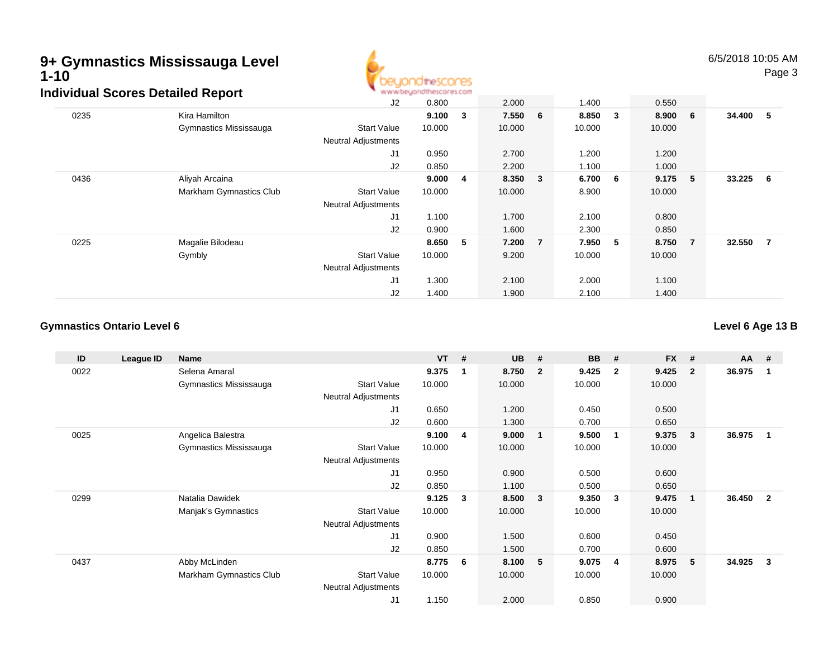

6/5/2018 10:05 AMPage 3

|      | arraan ocores Detanea Report |                            |        |              |         |                |        |     |           |                |            |  |
|------|------------------------------|----------------------------|--------|--------------|---------|----------------|--------|-----|-----------|----------------|------------|--|
|      |                              | J2                         | 0.800  |              | 2.000   |                | 1.400  |     | 0.550     |                |            |  |
| 0235 | Kira Hamilton                |                            | 9.100  | $\mathbf{3}$ | 7.550 6 |                | 8.850  | 3   | 8.900 6   |                | 34.400 5   |  |
|      | Gymnastics Mississauga       | <b>Start Value</b>         | 10.000 |              | 10.000  |                | 10.000 |     | 10.000    |                |            |  |
|      |                              | <b>Neutral Adjustments</b> |        |              |         |                |        |     |           |                |            |  |
|      |                              | J1                         | 0.950  |              | 2.700   |                | 1.200  |     | 1.200     |                |            |  |
|      |                              | J2                         | 0.850  |              | 2.200   |                | 1.100  |     | 1.000     |                |            |  |
| 0436 | Aliyah Arcaina               |                            | 9.000  | 4            | 8.350 3 |                | 6.700  | - 6 | $9.175$ 5 |                | $33.225$ 6 |  |
|      | Markham Gymnastics Club      | <b>Start Value</b>         | 10.000 |              | 10.000  |                | 8.900  |     | 10.000    |                |            |  |
|      |                              | <b>Neutral Adjustments</b> |        |              |         |                |        |     |           |                |            |  |
|      |                              | J1                         | 1.100  |              | 1.700   |                | 2.100  |     | 0.800     |                |            |  |
|      |                              | J2                         | 0.900  |              | 1.600   |                | 2.300  |     | 0.850     |                |            |  |
| 0225 | Magalie Bilodeau             |                            | 8.650  | 5            | 7.200   | $\overline{7}$ | 7.950  | 5   | 8.750     | $\overline{7}$ | 32.550 7   |  |
|      | Gymbly                       | <b>Start Value</b>         | 10.000 |              | 9.200   |                | 10.000 |     | 10.000    |                |            |  |
|      |                              | <b>Neutral Adjustments</b> |        |              |         |                |        |     |           |                |            |  |
|      |                              | J1                         | 1.300  |              | 2.100   |                | 2.000  |     | 1.100     |                |            |  |
|      |                              | J2                         | 1.400  |              | 1.900   |                | 2.100  |     | 1.400     |                |            |  |

#### **Gymnastics Ontario Level 6**

**Level 6 Age 13 B**

| ID   | League ID | Name                    |                            | <b>VT</b> | # | <b>UB</b> | #                       | <b>BB</b> | #              | <b>FX</b> | #            | $AA$ # |                         |
|------|-----------|-------------------------|----------------------------|-----------|---|-----------|-------------------------|-----------|----------------|-----------|--------------|--------|-------------------------|
| 0022 |           | Selena Amaral           |                            | 9.375     | 1 | 8.750     | $\overline{\mathbf{2}}$ | 9.425     | $\overline{2}$ | 9.425     | $\mathbf{2}$ | 36.975 |                         |
|      |           | Gymnastics Mississauga  | <b>Start Value</b>         | 10.000    |   | 10.000    |                         | 10.000    |                | 10.000    |              |        |                         |
|      |           |                         | <b>Neutral Adjustments</b> |           |   |           |                         |           |                |           |              |        |                         |
|      |           |                         | J1                         | 0.650     |   | 1.200     |                         | 0.450     |                | 0.500     |              |        |                         |
|      |           |                         | J2                         | 0.600     |   | 1.300     |                         | 0.700     |                | 0.650     |              |        |                         |
| 0025 |           | Angelica Balestra       |                            | 9.100     | 4 | 9.000     | $\mathbf{1}$            | 9.500     | -1             | 9.375     | 3            | 36.975 | $\mathbf 1$             |
|      |           | Gymnastics Mississauga  | <b>Start Value</b>         | 10.000    |   | 10.000    |                         | 10.000    |                | 10.000    |              |        |                         |
|      |           |                         | Neutral Adjustments        |           |   |           |                         |           |                |           |              |        |                         |
|      |           |                         | J1                         | 0.950     |   | 0.900     |                         | 0.500     |                | 0.600     |              |        |                         |
|      |           |                         | J2                         | 0.850     |   | 1.100     |                         | 0.500     |                | 0.650     |              |        |                         |
| 0299 |           | Natalia Dawidek         |                            | 9.125     | 3 | 8.500     | $\overline{\mathbf{3}}$ | 9.350     | -3             | 9.475     | $\mathbf 1$  | 36.450 | $\overline{\mathbf{2}}$ |
|      |           | Manjak's Gymnastics     | <b>Start Value</b>         | 10.000    |   | 10.000    |                         | 10.000    |                | 10.000    |              |        |                         |
|      |           |                         | <b>Neutral Adjustments</b> |           |   |           |                         |           |                |           |              |        |                         |
|      |           |                         | J1                         | 0.900     |   | 1.500     |                         | 0.600     |                | 0.450     |              |        |                         |
|      |           |                         | J2                         | 0.850     |   | 1.500     |                         | 0.700     |                | 0.600     |              |        |                         |
| 0437 |           | Abby McLinden           |                            | 8.775     | 6 | 8.100     | - 5                     | 9.075     | -4             | 8.975     | 5            | 34.925 | 3                       |
|      |           | Markham Gymnastics Club | <b>Start Value</b>         | 10.000    |   | 10.000    |                         | 10.000    |                | 10.000    |              |        |                         |
|      |           |                         | <b>Neutral Adjustments</b> |           |   |           |                         |           |                |           |              |        |                         |
|      |           |                         | J <sub>1</sub>             | 1.150     |   | 2.000     |                         | 0.850     |                | 0.900     |              |        |                         |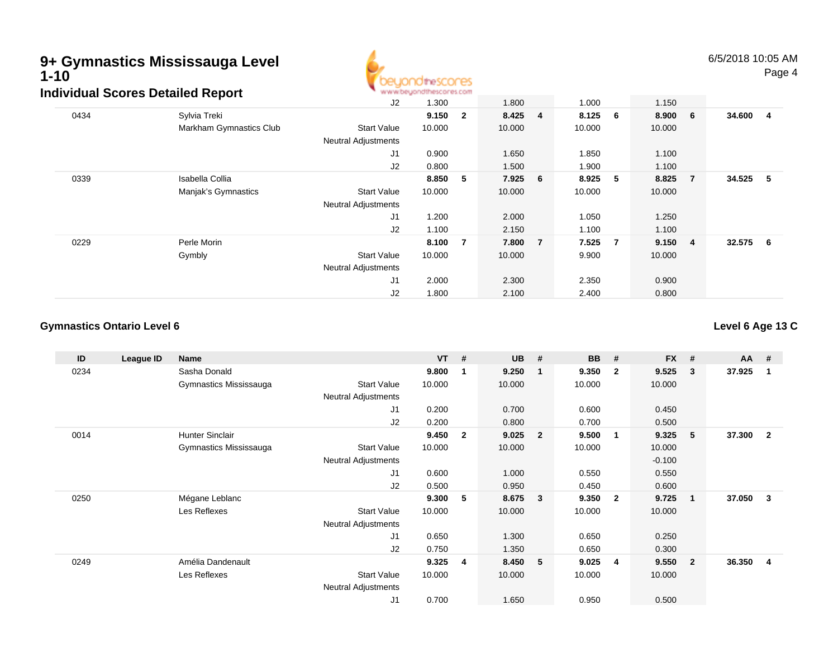

6/5/2018 10:05 AMPage 4

|      | arriadar ocorca Dolanca Report |                            |        |                |         |   |           |                |         |                |          |  |
|------|--------------------------------|----------------------------|--------|----------------|---------|---|-----------|----------------|---------|----------------|----------|--|
|      |                                | J2                         | 1.300  |                | 1.800   |   | 1.000     |                | 1.150   |                |          |  |
| 0434 | Sylvia Treki                   |                            | 9.150  | $\overline{2}$ | 8.425 4 |   | $8.125$ 6 |                | 8.900 6 |                | 34.600 4 |  |
|      | Markham Gymnastics Club        | <b>Start Value</b>         | 10.000 |                | 10.000  |   | 10.000    |                | 10.000  |                |          |  |
|      |                                | <b>Neutral Adjustments</b> |        |                |         |   |           |                |         |                |          |  |
|      |                                | J <sub>1</sub>             | 0.900  |                | 1.650   |   | 1.850     |                | 1.100   |                |          |  |
|      |                                | J2                         | 0.800  |                | 1.500   |   | 1.900     |                | 1.100   |                |          |  |
| 0339 | Isabella Collia                |                            | 8.850  | 5              | 7.925 6 |   | 8.925     | -5             | 8.825   | $\overline{7}$ | 34.525 5 |  |
|      | Manjak's Gymnastics            | <b>Start Value</b>         | 10.000 |                | 10.000  |   | 10.000    |                | 10.000  |                |          |  |
|      |                                | <b>Neutral Adjustments</b> |        |                |         |   |           |                |         |                |          |  |
|      |                                | J <sub>1</sub>             | 1.200  |                | 2.000   |   | 1.050     |                | 1.250   |                |          |  |
|      |                                | J2                         | 1.100  |                | 2.150   |   | 1.100     |                | 1.100   |                |          |  |
| 0229 | Perle Morin                    |                            | 8.100  | $\overline{7}$ | 7.800   | 7 | 7.525     | $\overline{7}$ | 9.150 4 |                | 32.575 6 |  |
|      | Gymbly                         | <b>Start Value</b>         | 10.000 |                | 10.000  |   | 9.900     |                | 10.000  |                |          |  |
|      |                                | <b>Neutral Adjustments</b> |        |                |         |   |           |                |         |                |          |  |
|      |                                | J1                         | 2.000  |                | 2.300   |   | 2.350     |                | 0.900   |                |          |  |
|      |                                | J2                         | 1.800  |                | 2.100   |   | 2.400     |                | 0.800   |                |          |  |

#### **Gymnastics Ontario Level 6**

**Level 6 Age 13 C**

| ID   | League ID | Name                   |                            | <b>VT</b> | #              | <b>UB</b> | #                       | <b>BB</b> | #              | <b>FX</b> | #              | $AA$ # |                |
|------|-----------|------------------------|----------------------------|-----------|----------------|-----------|-------------------------|-----------|----------------|-----------|----------------|--------|----------------|
| 0234 |           | Sasha Donald           |                            | 9.800     | 1              | 9.250     | -1                      | 9.350     | $\overline{2}$ | 9.525     | 3              | 37.925 |                |
|      |           | Gymnastics Mississauga | <b>Start Value</b>         | 10.000    |                | 10.000    |                         | 10.000    |                | 10.000    |                |        |                |
|      |           |                        | <b>Neutral Adjustments</b> |           |                |           |                         |           |                |           |                |        |                |
|      |           |                        | J1                         | 0.200     |                | 0.700     |                         | 0.600     |                | 0.450     |                |        |                |
|      |           |                        | J <sub>2</sub>             | 0.200     |                | 0.800     |                         | 0.700     |                | 0.500     |                |        |                |
| 0014 |           | <b>Hunter Sinclair</b> |                            | 9.450     | $\overline{2}$ | 9.025     | $\overline{\mathbf{2}}$ | 9.500     | $\mathbf{1}$   | 9.325     | 5              | 37.300 | $\overline{2}$ |
|      |           | Gymnastics Mississauga | <b>Start Value</b>         | 10.000    |                | 10.000    |                         | 10.000    |                | 10.000    |                |        |                |
|      |           |                        | <b>Neutral Adjustments</b> |           |                |           |                         |           |                | $-0.100$  |                |        |                |
|      |           |                        | J1                         | 0.600     |                | 1.000     |                         | 0.550     |                | 0.550     |                |        |                |
|      |           |                        | J2                         | 0.500     |                | 0.950     |                         | 0.450     |                | 0.600     |                |        |                |
| 0250 |           | Mégane Leblanc         |                            | 9.300     | 5              | 8.675     | $\overline{\mathbf{3}}$ | 9.350     | $\overline{2}$ | 9.725     | 1              | 37.050 | 3              |
|      |           | Les Reflexes           | <b>Start Value</b>         | 10.000    |                | 10.000    |                         | 10.000    |                | 10.000    |                |        |                |
|      |           |                        | <b>Neutral Adjustments</b> |           |                |           |                         |           |                |           |                |        |                |
|      |           |                        | J <sub>1</sub>             | 0.650     |                | 1.300     |                         | 0.650     |                | 0.250     |                |        |                |
|      |           |                        | J <sub>2</sub>             | 0.750     |                | 1.350     |                         | 0.650     |                | 0.300     |                |        |                |
| 0249 |           | Amélia Dandenault      |                            | 9.325     | 4              | 8.450     | - 5                     | 9.025     | $\overline{4}$ | 9.550     | $\overline{2}$ | 36.350 | 4              |
|      |           | Les Reflexes           | <b>Start Value</b>         | 10.000    |                | 10.000    |                         | 10.000    |                | 10.000    |                |        |                |
|      |           |                        | <b>Neutral Adjustments</b> |           |                |           |                         |           |                |           |                |        |                |
|      |           |                        | J1                         | 0.700     |                | 1.650     |                         | 0.950     |                | 0.500     |                |        |                |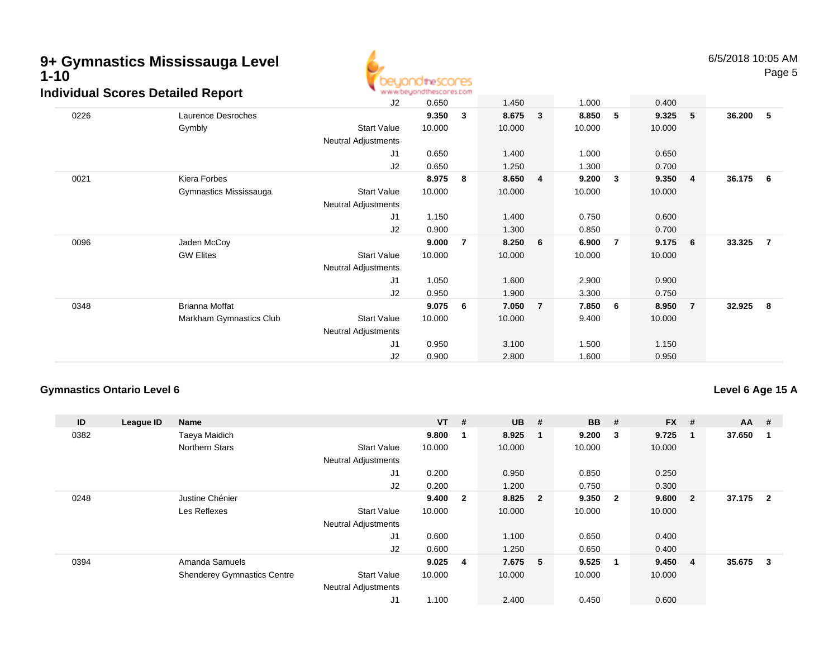

|      | aiviauai Scores Detailed Report |                            | ALALAM DRATING IN IN MONTH, AD FOUL |   |        |                |        |                         |        |                |        |                |
|------|---------------------------------|----------------------------|-------------------------------------|---|--------|----------------|--------|-------------------------|--------|----------------|--------|----------------|
|      |                                 | J2                         | 0.650                               |   | 1.450  |                | 1.000  |                         | 0.400  |                |        |                |
| 0226 | Laurence Desroches              |                            | 9.350                               | 3 | 8.675  | $\mathbf{3}$   | 8.850  | $-5$                    | 9.325  | - 5            | 36.200 | 5              |
|      | Gymbly                          | <b>Start Value</b>         | 10.000                              |   | 10.000 |                | 10.000 |                         | 10.000 |                |        |                |
|      |                                 | Neutral Adjustments        |                                     |   |        |                |        |                         |        |                |        |                |
|      |                                 | J1                         | 0.650                               |   | 1.400  |                | 1.000  |                         | 0.650  |                |        |                |
|      |                                 | J2                         | 0.650                               |   | 1.250  |                | 1.300  |                         | 0.700  |                |        |                |
| 0021 | Kiera Forbes                    |                            | 8.975                               | 8 | 8.650  | 4              | 9.200  | $\overline{\mathbf{3}}$ | 9.350  | - 4            | 36.175 | - 6            |
|      | Gymnastics Mississauga          | <b>Start Value</b>         | 10.000                              |   | 10.000 |                | 10.000 |                         | 10.000 |                |        |                |
|      |                                 | <b>Neutral Adjustments</b> |                                     |   |        |                |        |                         |        |                |        |                |
|      |                                 | J1                         | 1.150                               |   | 1.400  |                | 0.750  |                         | 0.600  |                |        |                |
|      |                                 | J2                         | 0.900                               |   | 1.300  |                | 0.850  |                         | 0.700  |                |        |                |
| 0096 | Jaden McCoy                     |                            | 9.000                               | 7 | 8.250  | 6              | 6.900  | $\overline{7}$          | 9.175  | - 6            | 33.325 | $\overline{7}$ |
|      | <b>GW Elites</b>                | <b>Start Value</b>         | 10.000                              |   | 10.000 |                | 10.000 |                         | 10.000 |                |        |                |
|      |                                 | <b>Neutral Adjustments</b> |                                     |   |        |                |        |                         |        |                |        |                |
|      |                                 | J1                         | 1.050                               |   | 1.600  |                | 2.900  |                         | 0.900  |                |        |                |
|      |                                 | J2                         | 0.950                               |   | 1.900  |                | 3.300  |                         | 0.750  |                |        |                |
| 0348 | Brianna Moffat                  |                            | 9.075                               | 6 | 7.050  | $\overline{7}$ | 7.850  | 6                       | 8.950  | $\overline{7}$ | 32.925 | 8              |
|      | Markham Gymnastics Club         | <b>Start Value</b>         | 10.000                              |   | 10.000 |                | 9.400  |                         | 10.000 |                |        |                |
|      |                                 | <b>Neutral Adjustments</b> |                                     |   |        |                |        |                         |        |                |        |                |
|      |                                 | J1                         | 0.950                               |   | 3.100  |                | 1.500  |                         | 1.150  |                |        |                |
|      |                                 | J2                         | 0.900                               |   | 2.800  |                | 1.600  |                         | 0.950  |                |        |                |
|      |                                 |                            |                                     |   |        |                |        |                         |        |                |        |                |

### **Gymnastics Ontario Level 6**

**Level 6 Age 15 A**

| ID   | League ID | <b>Name</b>                        |                            | $VT$ #    |                | <b>UB</b> | #                       | <b>BB</b> | #                       | <b>FX</b> | #              | $AA$ # |                |
|------|-----------|------------------------------------|----------------------------|-----------|----------------|-----------|-------------------------|-----------|-------------------------|-----------|----------------|--------|----------------|
| 0382 |           | Taeya Maidich                      |                            | 9.800     |                | 8.925     | $\mathbf{1}$            | 9.200     | - 3                     | 9.725     | -1             | 37.650 |                |
|      |           | <b>Northern Stars</b>              | <b>Start Value</b>         | 10.000    |                | 10.000    |                         | 10.000    |                         | 10.000    |                |        |                |
|      |           |                                    | <b>Neutral Adjustments</b> |           |                |           |                         |           |                         |           |                |        |                |
|      |           |                                    | J1                         | 0.200     |                | 0.950     |                         | 0.850     |                         | 0.250     |                |        |                |
|      |           |                                    | J2                         | 0.200     |                | 1.200     |                         | 0.750     |                         | 0.300     |                |        |                |
| 0248 |           | Justine Chénier                    |                            | 9.400     | $\overline{2}$ | 8.825     | $\overline{\mathbf{2}}$ | 9.350     | $\overline{\mathbf{2}}$ | 9.600     | $\overline{2}$ | 37.175 | $\overline{2}$ |
|      |           | Les Reflexes                       | <b>Start Value</b>         | 10.000    |                | 10.000    |                         | 10.000    |                         | 10.000    |                |        |                |
|      |           |                                    | <b>Neutral Adjustments</b> |           |                |           |                         |           |                         |           |                |        |                |
|      |           |                                    | J <sub>1</sub>             | 0.600     |                | 1.100     |                         | 0.650     |                         | 0.400     |                |        |                |
|      |           |                                    | J2                         | 0.600     |                | 1.250     |                         | 0.650     |                         | 0.400     |                |        |                |
| 0394 |           | Amanda Samuels                     |                            | $9.025$ 4 |                | 7.675 5   |                         | 9.525     | -1                      | 9.450     | 4              | 35.675 | 3              |
|      |           | <b>Shenderey Gymnastics Centre</b> | <b>Start Value</b>         | 10.000    |                | 10.000    |                         | 10.000    |                         | 10.000    |                |        |                |
|      |           |                                    | <b>Neutral Adjustments</b> |           |                |           |                         |           |                         |           |                |        |                |
|      |           |                                    | J1                         | 1.100     |                | 2.400     |                         | 0.450     |                         | 0.600     |                |        |                |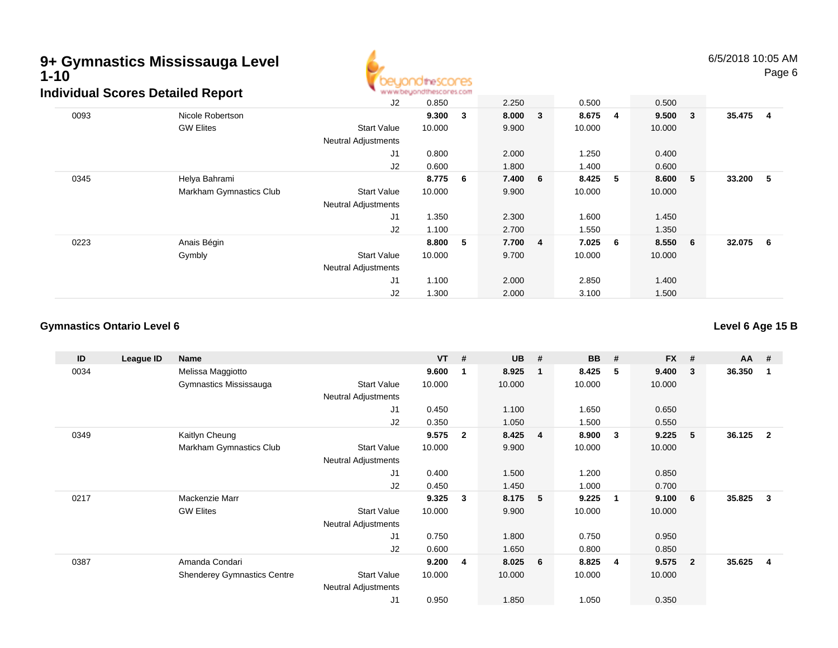

|      | idividuai Scores Detalled Report |                            | ALALAM AN' DIRATA IN 10 AN MADE OL ANY EVOLUT |   |         |                |        |    |         |                         |        |                |
|------|----------------------------------|----------------------------|-----------------------------------------------|---|---------|----------------|--------|----|---------|-------------------------|--------|----------------|
|      |                                  | J2                         | 0.850                                         |   | 2.250   |                | 0.500  |    | 0.500   |                         |        |                |
| 0093 | Nicole Robertson                 |                            | 9.300                                         | 3 | 8.000   | $\mathbf{3}$   | 8.675  | -4 | 9.500   | $\overline{\mathbf{3}}$ | 35.475 | $\overline{4}$ |
|      | <b>GW Elites</b>                 | <b>Start Value</b>         | 10.000                                        |   | 9.900   |                | 10.000 |    | 10.000  |                         |        |                |
|      |                                  | <b>Neutral Adjustments</b> |                                               |   |         |                |        |    |         |                         |        |                |
|      |                                  | J <sub>1</sub>             | 0.800                                         |   | 2.000   |                | 1.250  |    | 0.400   |                         |        |                |
|      |                                  | J <sub>2</sub>             | 0.600                                         |   | 1.800   |                | 1.400  |    | 0.600   |                         |        |                |
| 0345 | Helya Bahrami                    |                            | 8.775                                         | 6 | 7.400 6 |                | 8.425  | 5  | 8.600   | $-5$                    | 33.200 | - 5            |
|      | Markham Gymnastics Club          | <b>Start Value</b>         | 10.000                                        |   | 9.900   |                | 10.000 |    | 10.000  |                         |        |                |
|      |                                  | <b>Neutral Adjustments</b> |                                               |   |         |                |        |    |         |                         |        |                |
|      |                                  | J <sub>1</sub>             | 1.350                                         |   | 2.300   |                | 1.600  |    | 1.450   |                         |        |                |
|      |                                  | J <sub>2</sub>             | 1.100                                         |   | 2.700   |                | 1.550  |    | 1.350   |                         |        |                |
| 0223 | Anais Bégin                      |                            | 8.800                                         | 5 | 7.700   | $\overline{4}$ | 7.025  | 6  | 8.550 6 |                         | 32.075 | - 6            |
|      | Gymbly                           | <b>Start Value</b>         | 10.000                                        |   | 9.700   |                | 10.000 |    | 10.000  |                         |        |                |
|      |                                  | <b>Neutral Adjustments</b> |                                               |   |         |                |        |    |         |                         |        |                |
|      |                                  | J1                         | 1.100                                         |   | 2.000   |                | 2.850  |    | 1.400   |                         |        |                |
|      |                                  | J2                         | 1.300                                         |   | 2.000   |                | 3.100  |    | 1.500   |                         |        |                |

### **Gymnastics Ontario Level 6**

**Level 6 Age 15 B**

| ID   | League ID | Name                               |                            | <b>VT</b> | #            | <b>UB</b> | #                       | <b>BB</b> | #              | <b>FX</b> | #              | <b>AA</b> | #              |
|------|-----------|------------------------------------|----------------------------|-----------|--------------|-----------|-------------------------|-----------|----------------|-----------|----------------|-----------|----------------|
| 0034 |           | Melissa Maggiotto                  |                            | 9.600     | 1            | 8.925     | -1                      | 8.425     | -5             | 9.400     | 3              | 36.350    |                |
|      |           | Gymnastics Mississauga             | <b>Start Value</b>         | 10.000    |              | 10.000    |                         | 10.000    |                | 10.000    |                |           |                |
|      |           |                                    | <b>Neutral Adjustments</b> |           |              |           |                         |           |                |           |                |           |                |
|      |           |                                    | J1                         | 0.450     |              | 1.100     |                         | 1.650     |                | 0.650     |                |           |                |
|      |           |                                    | J2                         | 0.350     |              | 1.050     |                         | 1.500     |                | 0.550     |                |           |                |
| 0349 |           | Kaitlyn Cheung                     |                            | 9.575     | $\mathbf{2}$ | 8.425     | $\overline{\mathbf{4}}$ | 8.900     | -3             | 9.225     | 5              | 36.125    | $\overline{2}$ |
|      |           | Markham Gymnastics Club            | <b>Start Value</b>         | 10.000    |              | 9.900     |                         | 10.000    |                | 10.000    |                |           |                |
|      |           |                                    | Neutral Adjustments        |           |              |           |                         |           |                |           |                |           |                |
|      |           |                                    | J1                         | 0.400     |              | 1.500     |                         | 1.200     |                | 0.850     |                |           |                |
|      |           |                                    | J2                         | 0.450     |              | 1.450     |                         | 1.000     |                | 0.700     |                |           |                |
| 0217 |           | Mackenzie Marr                     |                            | 9.325     | 3            | 8.175     | 5                       | 9.225     | $\overline{1}$ | 9.100     | 6              | 35.825    | 3              |
|      |           | <b>GW Elites</b>                   | <b>Start Value</b>         | 10.000    |              | 9.900     |                         | 10.000    |                | 10.000    |                |           |                |
|      |           |                                    | <b>Neutral Adjustments</b> |           |              |           |                         |           |                |           |                |           |                |
|      |           |                                    | J1                         | 0.750     |              | 1.800     |                         | 0.750     |                | 0.950     |                |           |                |
|      |           |                                    | J2                         | 0.600     |              | 1.650     |                         | 0.800     |                | 0.850     |                |           |                |
| 0387 |           | Amanda Condari                     |                            | 9.200     | -4           | 8.025     | $6\phantom{.0}6$        | 8.825     | -4             | 9.575     | $\overline{2}$ | 35.625    | $\overline{4}$ |
|      |           | <b>Shenderey Gymnastics Centre</b> | <b>Start Value</b>         | 10.000    |              | 10.000    |                         | 10.000    |                | 10.000    |                |           |                |
|      |           |                                    | <b>Neutral Adjustments</b> |           |              |           |                         |           |                |           |                |           |                |
|      |           |                                    | J <sub>1</sub>             | 0.950     |              | 1.850     |                         | 1.050     |                | 0.350     |                |           |                |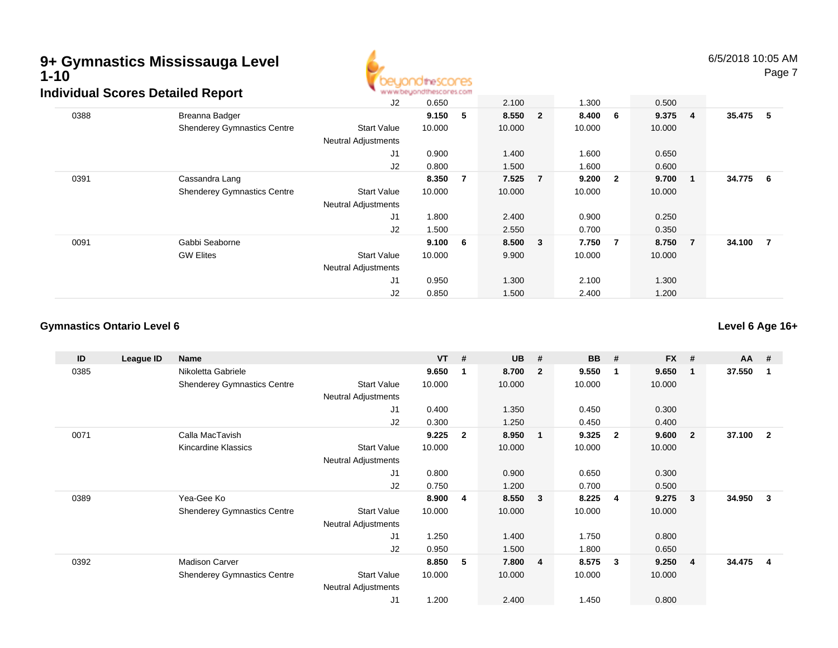

|      | urviuuai OCOI 65 Detaileu Report   |                            |        |     |         |        |                |         |     |          |  |
|------|------------------------------------|----------------------------|--------|-----|---------|--------|----------------|---------|-----|----------|--|
|      |                                    | J2                         | 0.650  |     | 2.100   | 1.300  |                | 0.500   |     |          |  |
| 0388 | Breanna Badger                     |                            | 9.150  | 5   | 8.550 2 | 8.400  | 6              | 9.375 4 |     | 35.475 5 |  |
|      | <b>Shenderey Gymnastics Centre</b> | <b>Start Value</b>         | 10.000 |     | 10.000  | 10.000 |                | 10.000  |     |          |  |
|      |                                    | <b>Neutral Adjustments</b> |        |     |         |        |                |         |     |          |  |
|      |                                    | J1                         | 0.900  |     | 1.400   | 1.600  |                | 0.650   |     |          |  |
|      |                                    | J <sub>2</sub>             | 0.800  |     | 1.500   | 1.600  |                | 0.600   |     |          |  |
| 0391 | Cassandra Lang                     |                            | 8.350  | -7  | 7.525 7 | 9.200  | $\overline{2}$ | 9.700   | - 1 | 34.775 6 |  |
|      | <b>Shenderey Gymnastics Centre</b> | <b>Start Value</b>         | 10.000 |     | 10.000  | 10.000 |                | 10.000  |     |          |  |
|      |                                    | <b>Neutral Adjustments</b> |        |     |         |        |                |         |     |          |  |
|      |                                    | J1                         | 1.800  |     | 2.400   | 0.900  |                | 0.250   |     |          |  |
|      |                                    | J2                         | 1.500  |     | 2.550   | 0.700  |                | 0.350   |     |          |  |
| 0091 | Gabbi Seaborne                     |                            | 9.100  | - 6 | 8.500 3 | 7.750  | $\overline{7}$ | 8.750 7 |     | 34.100 7 |  |
|      | <b>GW Elites</b>                   | <b>Start Value</b>         | 10.000 |     | 9.900   | 10.000 |                | 10.000  |     |          |  |
|      |                                    | <b>Neutral Adjustments</b> |        |     |         |        |                |         |     |          |  |
|      |                                    | J1                         | 0.950  |     | 1.300   | 2.100  |                | 1.300   |     |          |  |
|      |                                    | J2                         | 0.850  |     | 1.500   | 2.400  |                | 1.200   |     |          |  |

### **Gymnastics Ontario Level 6**

**Level 6 Age 16+**

| ID   | League ID | <b>Name</b>                        |                            | <b>VT</b> | #            | <b>UB</b> | #                       | <b>BB</b> | #            | <b>FX</b> | #              | $AA$ # |                |
|------|-----------|------------------------------------|----------------------------|-----------|--------------|-----------|-------------------------|-----------|--------------|-----------|----------------|--------|----------------|
| 0385 |           | Nikoletta Gabriele                 |                            | 9.650     | -1           | 8.700     | - 2                     | 9.550     | -1           | 9.650     |                | 37.550 |                |
|      |           | <b>Shenderey Gymnastics Centre</b> | <b>Start Value</b>         | 10.000    |              | 10.000    |                         | 10.000    |              | 10.000    |                |        |                |
|      |           |                                    | <b>Neutral Adjustments</b> |           |              |           |                         |           |              |           |                |        |                |
|      |           |                                    | J1                         | 0.400     |              | 1.350     |                         | 0.450     |              | 0.300     |                |        |                |
|      |           |                                    | J2                         | 0.300     |              | 1.250     |                         | 0.450     |              | 0.400     |                |        |                |
| 0071 |           | Calla MacTavish                    |                            | 9.225     | $\mathbf{2}$ | 8.950     | $\blacksquare$          | 9.325     | $\mathbf{2}$ | 9.600     | $\mathbf{2}$   | 37.100 | $\overline{2}$ |
|      |           | Kincardine Klassics                | <b>Start Value</b>         | 10.000    |              | 10.000    |                         | 10.000    |              | 10.000    |                |        |                |
|      |           |                                    | Neutral Adjustments        |           |              |           |                         |           |              |           |                |        |                |
|      |           |                                    | J1                         | 0.800     |              | 0.900     |                         | 0.650     |              | 0.300     |                |        |                |
|      |           |                                    | J2                         | 0.750     |              | 1.200     |                         | 0.700     |              | 0.500     |                |        |                |
| 0389 |           | Yea-Gee Ko                         |                            | 8.900     | 4            | 8.550     | $\overline{\mathbf{3}}$ | 8.225     | 4            | 9.275     | 3              | 34.950 | 3              |
|      |           | <b>Shenderey Gymnastics Centre</b> | <b>Start Value</b>         | 10.000    |              | 10.000    |                         | 10.000    |              | 10.000    |                |        |                |
|      |           |                                    | <b>Neutral Adjustments</b> |           |              |           |                         |           |              |           |                |        |                |
|      |           |                                    | J1                         | 1.250     |              | 1.400     |                         | 1.750     |              | 0.800     |                |        |                |
|      |           |                                    | J2                         | 0.950     |              | 1.500     |                         | 1.800     |              | 0.650     |                |        |                |
| 0392 |           | <b>Madison Carver</b>              |                            | 8.850     | 5            | 7.800     | $\overline{\mathbf{4}}$ | 8.575     | 3            | 9.250     | $\overline{4}$ | 34.475 | $\overline{4}$ |
|      |           | <b>Shenderey Gymnastics Centre</b> | <b>Start Value</b>         | 10.000    |              | 10.000    |                         | 10.000    |              | 10.000    |                |        |                |
|      |           |                                    | <b>Neutral Adjustments</b> |           |              |           |                         |           |              |           |                |        |                |
|      |           |                                    | J <sub>1</sub>             | 1.200     |              | 2.400     |                         | 1.450     |              | 0.800     |                |        |                |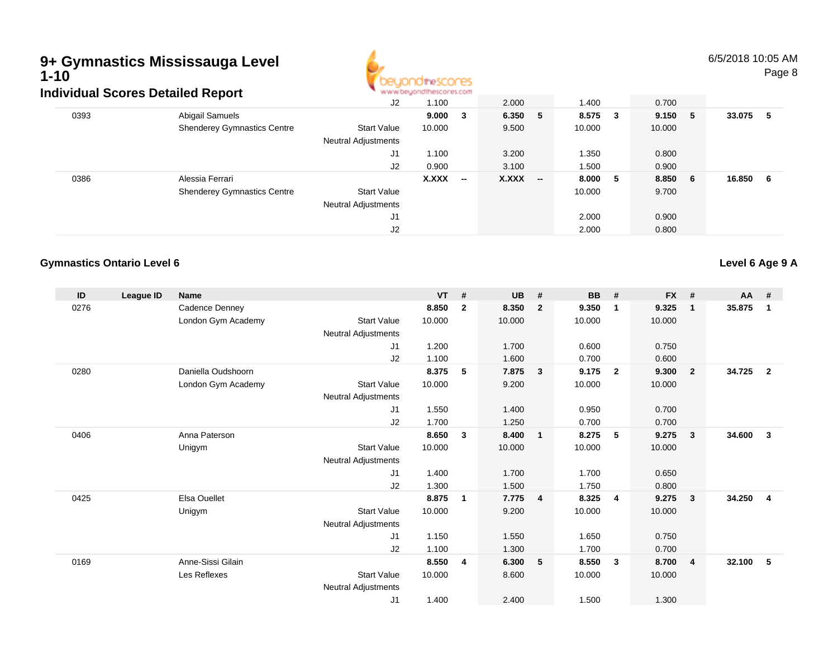

6/5/2018 10:05 AMPage 8

|      | ulviuuai Scoles Delalleu Report    |                                           |              |                          |         |                          |         |      |        |     |        |     |
|------|------------------------------------|-------------------------------------------|--------------|--------------------------|---------|--------------------------|---------|------|--------|-----|--------|-----|
|      |                                    | J2                                        | 1.100        |                          | 2.000   |                          | 1.400   |      | 0.700  |     |        |     |
| 0393 | Abigail Samuels                    |                                           | 9.000 3      |                          | 6.350 5 |                          | 8.575 3 |      | 9.150  | - 5 | 33.075 | -5  |
|      | <b>Shenderey Gymnastics Centre</b> | <b>Start Value</b><br>Neutral Adjustments | 10.000       |                          | 9.500   |                          | 10.000  |      | 10.000 |     |        |     |
|      |                                    | J1                                        | 1.100        |                          | 3.200   |                          | 1.350   |      | 0.800  |     |        |     |
|      |                                    | J2                                        | 0.900        |                          | 3.100   |                          | 1.500   |      | 0.900  |     |        |     |
| 0386 | Alessia Ferrari                    |                                           | <b>X.XXX</b> | $\overline{\phantom{a}}$ | X.XXX   | $\overline{\phantom{a}}$ | 8.000   | $-5$ | 8.850  | - 6 | 16.850 | - 6 |
|      | <b>Shenderey Gymnastics Centre</b> | <b>Start Value</b>                        |              |                          |         |                          | 10.000  |      | 9.700  |     |        |     |
|      |                                    | Neutral Adjustments                       |              |                          |         |                          |         |      |        |     |        |     |
|      |                                    | J1                                        |              |                          |         |                          | 2.000   |      | 0.900  |     |        |     |
|      |                                    | J2                                        |              |                          |         |                          | 2.000   |      | 0.800  |     |        |     |
|      |                                    |                                           |              |                          |         |                          |         |      |        |     |        |     |

#### **Gymnastics Ontario Level 6**

**Level 6 Age 9 A**

| ID   | League ID | <b>Name</b>         |                            | <b>VT</b> | #            | <b>UB</b> | #                       | <b>BB</b> | #              | <b>FX</b> | #              | $AA$ # |                |
|------|-----------|---------------------|----------------------------|-----------|--------------|-----------|-------------------------|-----------|----------------|-----------|----------------|--------|----------------|
| 0276 |           | Cadence Denney      |                            | 8.850     | $\mathbf{2}$ | 8.350     | $\overline{2}$          | 9.350     | $\mathbf{1}$   | 9.325     | $\mathbf{1}$   | 35.875 | 1              |
|      |           | London Gym Academy  | <b>Start Value</b>         | 10.000    |              | 10.000    |                         | 10.000    |                | 10.000    |                |        |                |
|      |           |                     | Neutral Adjustments        |           |              |           |                         |           |                |           |                |        |                |
|      |           |                     | J1                         | 1.200     |              | 1.700     |                         | 0.600     |                | 0.750     |                |        |                |
|      |           |                     | J2                         | 1.100     |              | 1.600     |                         | 0.700     |                | 0.600     |                |        |                |
| 0280 |           | Daniella Oudshoorn  |                            | 8.375     | 5            | 7.875     | $\overline{\mathbf{3}}$ | 9.175     | $\overline{2}$ | 9.300     | $\overline{2}$ | 34.725 | $\overline{2}$ |
|      |           | London Gym Academy  | <b>Start Value</b>         | 10.000    |              | 9.200     |                         | 10.000    |                | 10.000    |                |        |                |
|      |           |                     | Neutral Adjustments        |           |              |           |                         |           |                |           |                |        |                |
|      |           |                     | J1                         | 1.550     |              | 1.400     |                         | 0.950     |                | 0.700     |                |        |                |
|      |           |                     | J2                         | 1.700     |              | 1.250     |                         | 0.700     |                | 0.700     |                |        |                |
| 0406 |           | Anna Paterson       |                            | 8.650     | 3            | 8.400     | $\blacksquare$          | 8.275     | -5             | 9.275     | 3              | 34.600 | 3              |
|      |           | Unigym              | <b>Start Value</b>         | 10.000    |              | 10.000    |                         | 10.000    |                | 10.000    |                |        |                |
|      |           |                     | Neutral Adjustments        |           |              |           |                         |           |                |           |                |        |                |
|      |           |                     | J1                         | 1.400     |              | 1.700     |                         | 1.700     |                | 0.650     |                |        |                |
|      |           |                     | J2                         | 1.300     |              | 1.500     |                         | 1.750     |                | 0.800     |                |        |                |
| 0425 |           | <b>Elsa Ouellet</b> |                            | 8.875     | 1            | 7.775     | $\overline{4}$          | 8.325     | -4             | 9.275     | 3              | 34.250 | $\overline{4}$ |
|      |           | Unigym              | <b>Start Value</b>         | 10.000    |              | 9.200     |                         | 10.000    |                | 10.000    |                |        |                |
|      |           |                     | Neutral Adjustments        |           |              |           |                         |           |                |           |                |        |                |
|      |           |                     | J1                         | 1.150     |              | 1.550     |                         | 1.650     |                | 0.750     |                |        |                |
|      |           |                     | J2                         | 1.100     |              | 1.300     |                         | 1.700     |                | 0.700     |                |        |                |
| 0169 |           | Anne-Sissi Gilain   |                            | 8.550     | 4            | 6.300     | 5                       | 8.550     | 3              | 8.700     | 4              | 32.100 | 5              |
|      |           | Les Reflexes        | <b>Start Value</b>         | 10.000    |              | 8.600     |                         | 10.000    |                | 10.000    |                |        |                |
|      |           |                     | <b>Neutral Adjustments</b> |           |              |           |                         |           |                |           |                |        |                |
|      |           |                     | J <sub>1</sub>             | 1.400     |              | 2.400     |                         | 1.500     |                | 1.300     |                |        |                |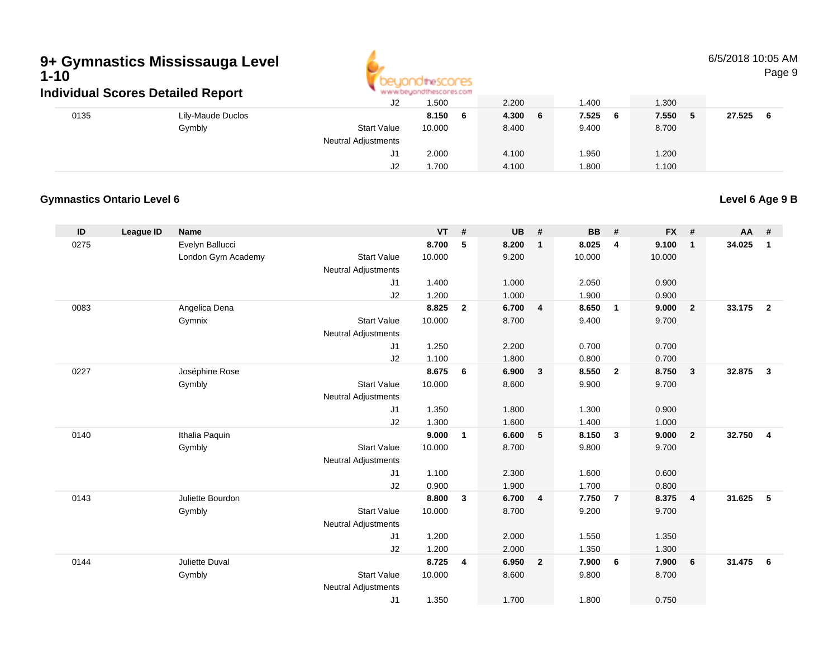

6/5/2018 10:05 AMPage 9

| individual Scores Detailed Report |                   |                            |             |             |                                              |             |             |
|-----------------------------------|-------------------|----------------------------|-------------|-------------|----------------------------------------------|-------------|-------------|
|                                   |                   | J2                         | 1.500       | 2.200       | 1.400                                        | 1.300       |             |
| 0135                              | Lily-Maude Duclos |                            | 8.150<br>-6 | 4.300<br>-6 | 7.525<br>- 6                                 | 7.550<br>-5 | 27.525<br>6 |
|                                   | Gymbly            | <b>Start Value</b>         | 10.000      | 8.400       | 9.400                                        | 8.700       |             |
|                                   |                   | <b>Neutral Adjustments</b> |             |             |                                              |             |             |
|                                   |                   | J1                         | 2.000       | 4.100       | .950                                         | 1.200       |             |
|                                   |                   | J2                         | 1.700       | 4.100       | .800                                         | 1.100       |             |
|                                   |                   |                            |             |             | ARE ARE ARRAINED FOR DESIGNATION ASSOCIATED. |             |             |

### **Gymnastics Ontario Level 6**

**Level 6 Age 9 B**

| ID   | League ID | Name                     |                            | <b>VT</b>      | #            | <b>UB</b>      | #              | <b>BB</b>      | #                       | <b>FX</b>      | #                       | AA #   |                |
|------|-----------|--------------------------|----------------------------|----------------|--------------|----------------|----------------|----------------|-------------------------|----------------|-------------------------|--------|----------------|
| 0275 |           | Evelyn Ballucci          |                            | 8.700          | 5            | 8.200          | $\mathbf{1}$   | 8.025          | 4                       | 9.100          | $\overline{1}$          | 34.025 | $\mathbf{1}$   |
|      |           | London Gym Academy       | <b>Start Value</b>         | 10.000         |              | 9.200          |                | 10.000         |                         | 10.000         |                         |        |                |
|      |           |                          | <b>Neutral Adjustments</b> |                |              |                |                |                |                         |                |                         |        |                |
|      |           |                          | J1                         | 1.400          |              | 1.000          |                | 2.050          |                         | 0.900          |                         |        |                |
|      |           |                          | J2                         | 1.200          |              | 1.000          |                | 1.900          |                         | 0.900          |                         |        |                |
| 0083 |           | Angelica Dena            |                            | 8.825          | $\mathbf{2}$ | 6.700          | 4              | 8.650          | $\overline{\mathbf{1}}$ | 9.000          | $\overline{2}$          | 33.175 | $\overline{2}$ |
|      |           | Gymnix                   | <b>Start Value</b>         | 10.000         |              | 8.700          |                | 9.400          |                         | 9.700          |                         |        |                |
|      |           |                          | <b>Neutral Adjustments</b> |                |              |                |                |                |                         |                |                         |        |                |
|      |           |                          | J1                         | 1.250          |              | 2.200          |                | 0.700          |                         | 0.700          |                         |        |                |
|      |           |                          | J2                         | 1.100          |              | 1.800          |                | 0.800          |                         | 0.700          |                         |        |                |
| 0227 |           | Joséphine Rose           |                            | 8.675          | 6            | 6.900          | $\mathbf{3}$   | 8.550          | $\overline{2}$          | 8.750          | $\mathbf{3}$            | 32.875 | $\mathbf{3}$   |
|      |           | Gymbly                   | <b>Start Value</b>         | 10.000         |              | 8.600          |                | 9.900          |                         | 9.700          |                         |        |                |
|      |           |                          | <b>Neutral Adjustments</b> |                |              |                |                |                |                         |                |                         |        |                |
|      |           |                          | J1                         | 1.350          |              | 1.800          |                | 1.300          |                         | 0.900          |                         |        |                |
| 0140 |           |                          | J2                         | 1.300<br>9.000 | 1            | 1.600<br>6.600 | 5              | 1.400<br>8.150 | $\mathbf{3}$            | 1.000<br>9.000 | $\overline{\mathbf{2}}$ | 32.750 | $\overline{4}$ |
|      |           | Ithalia Paquin<br>Gymbly | <b>Start Value</b>         | 10.000         |              | 8.700          |                | 9.800          |                         | 9.700          |                         |        |                |
|      |           |                          | <b>Neutral Adjustments</b> |                |              |                |                |                |                         |                |                         |        |                |
|      |           |                          | J1                         | 1.100          |              | 2.300          |                | 1.600          |                         | 0.600          |                         |        |                |
|      |           |                          | J2                         | 0.900          |              | 1.900          |                | 1.700          |                         | 0.800          |                         |        |                |
| 0143 |           | Juliette Bourdon         |                            | 8.800          | 3            | 6.700          | $\overline{4}$ | 7.750          | $\overline{7}$          | 8.375          | $\overline{4}$          | 31.625 | 5              |
|      |           | Gymbly                   | <b>Start Value</b>         | 10.000         |              | 8.700          |                | 9.200          |                         | 9.700          |                         |        |                |
|      |           |                          | Neutral Adjustments        |                |              |                |                |                |                         |                |                         |        |                |
|      |           |                          | J <sub>1</sub>             | 1.200          |              | 2.000          |                | 1.550          |                         | 1.350          |                         |        |                |
|      |           |                          | J2                         | 1.200          |              | 2.000          |                | 1.350          |                         | 1.300          |                         |        |                |
| 0144 |           | Juliette Duval           |                            | 8.725          | 4            | 6.950          | $\overline{2}$ | 7.900          | 6                       | 7.900          | 6                       | 31.475 | 6              |
|      |           | Gymbly                   | <b>Start Value</b>         | 10.000         |              | 8.600          |                | 9.800          |                         | 8.700          |                         |        |                |
|      |           |                          | <b>Neutral Adjustments</b> |                |              |                |                |                |                         |                |                         |        |                |
|      |           |                          | J1                         | 1.350          |              | 1.700          |                | 1.800          |                         | 0.750          |                         |        |                |
|      |           |                          |                            |                |              |                |                |                |                         |                |                         |        |                |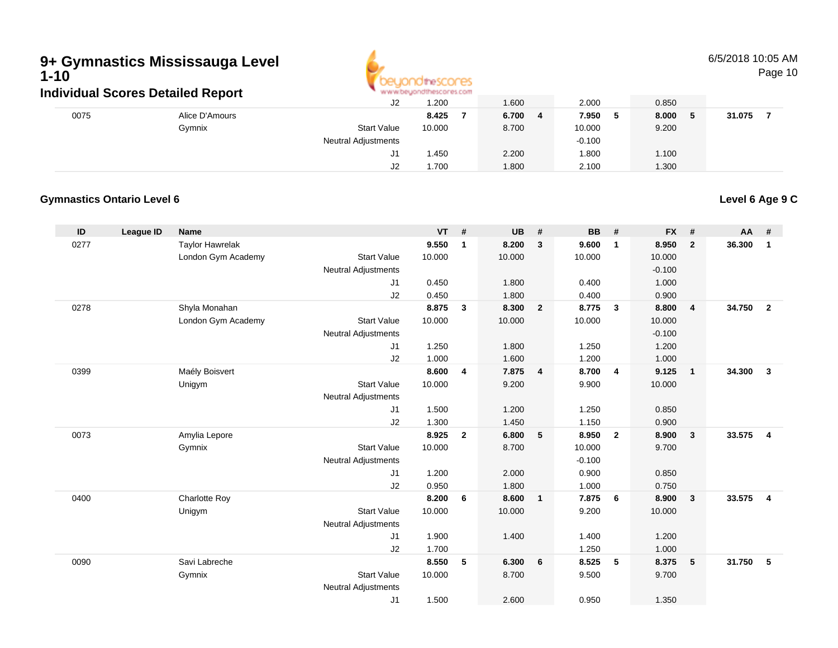

6/5/2018 10:05 AM

Page 10

|      | ınaıvıqual Scores Detalled Report |                            | ALAI ANYO AZAR IO ILMONTO LA 2010 |       |              |       |        |
|------|-----------------------------------|----------------------------|-----------------------------------|-------|--------------|-------|--------|
|      |                                   | J2                         | 1.200                             | 1.600 | 2.000        | 0.850 |        |
| 0075 | Alice D'Amours                    |                            | 8.425                             | 6.700 | 7.950<br>- 5 | 8.000 | 31.075 |
|      | Gymnix                            | <b>Start Value</b>         | 10.000                            | 8.700 | 10.000       | 9.200 |        |
|      |                                   | <b>Neutral Adjustments</b> |                                   |       | $-0.100$     |       |        |
|      |                                   |                            | 1.450                             | 2.200 | .800         | 1.100 |        |
|      |                                   | J2                         | 1.700                             | 1.800 | 2.100        | 1.300 |        |

### **Gymnastics Ontario Level 6**

**Level 6 Age 9 C**

| ID   | <b>League ID</b> | <b>Name</b>            |                                  | $VT$ #         |                | <b>UB</b>      | #              | <b>BB</b>         | #              | <b>FX</b>      | #              | AA     | #                       |
|------|------------------|------------------------|----------------------------------|----------------|----------------|----------------|----------------|-------------------|----------------|----------------|----------------|--------|-------------------------|
| 0277 |                  | <b>Taylor Hawrelak</b> |                                  | 9.550          | $\overline{1}$ | 8.200          | 3              | 9.600             | $\overline{1}$ | 8.950          | $\overline{2}$ | 36.300 | $\mathbf{1}$            |
|      |                  | London Gym Academy     | <b>Start Value</b>               | 10.000         |                | 10.000         |                | 10.000            |                | 10.000         |                |        |                         |
|      |                  |                        | Neutral Adjustments              |                |                |                |                |                   |                | $-0.100$       |                |        |                         |
|      |                  |                        | J1<br>J2                         | 0.450<br>0.450 |                | 1.800<br>1.800 |                | 0.400<br>0.400    |                | 1.000<br>0.900 |                |        |                         |
| 0278 |                  | Shyla Monahan          |                                  | 8.875          | 3              | 8.300          | $\overline{2}$ | 8.775             | $\mathbf{3}$   | 8.800          | $\overline{4}$ | 34.750 | $\overline{2}$          |
|      |                  | London Gym Academy     | <b>Start Value</b>               | 10.000         |                | 10.000         |                | 10.000            |                | 10.000         |                |        |                         |
|      |                  |                        | Neutral Adjustments              |                |                |                |                |                   |                | $-0.100$       |                |        |                         |
|      |                  |                        | J1                               | 1.250          |                | 1.800          |                | 1.250             |                | 1.200          |                |        |                         |
|      |                  |                        | J2                               | 1.000          |                | 1.600          |                | 1.200             |                | 1.000          |                |        |                         |
| 0399 |                  | Maély Boisvert         |                                  | 8.600          | 4              | 7.875          | $\overline{4}$ | 8.700             | $\overline{4}$ | 9.125          | $\overline{1}$ | 34.300 | $\overline{\mathbf{3}}$ |
|      |                  | Unigym                 | <b>Start Value</b>               | 10.000         |                | 9.200          |                | 9.900             |                | 10.000         |                |        |                         |
|      |                  |                        | <b>Neutral Adjustments</b>       |                |                |                |                |                   |                |                |                |        |                         |
|      |                  |                        | J1                               | 1.500          |                | 1.200          |                | 1.250             |                | 0.850          |                |        |                         |
|      |                  |                        | J2                               | 1.300          |                | 1.450          |                | 1.150             |                | 0.900          |                |        |                         |
| 0073 |                  | Amylia Lepore          |                                  | 8.925          | $\overline{2}$ | 6.800          | 5              | 8.950             | $\overline{2}$ | 8.900          | $\mathbf{3}$   | 33.575 | $\overline{4}$          |
|      |                  | Gymnix                 | <b>Start Value</b>               | 10.000         |                | 8.700          |                | 10.000            |                | 9.700          |                |        |                         |
|      |                  |                        | <b>Neutral Adjustments</b><br>J1 | 1.200          |                | 2.000          |                | $-0.100$<br>0.900 |                | 0.850          |                |        |                         |
|      |                  |                        | J2                               | 0.950          |                | 1.800          |                | 1.000             |                | 0.750          |                |        |                         |
| 0400 |                  | <b>Charlotte Roy</b>   |                                  | 8.200          | 6              | 8.600          | $\mathbf{1}$   | 7.875             | 6              | 8.900          | $\mathbf{3}$   | 33.575 | $\overline{4}$          |
|      |                  | Unigym                 | <b>Start Value</b>               | 10.000         |                | 10.000         |                | 9.200             |                | 10.000         |                |        |                         |
|      |                  |                        | <b>Neutral Adjustments</b>       |                |                |                |                |                   |                |                |                |        |                         |
|      |                  |                        | J <sub>1</sub>                   | 1.900          |                | 1.400          |                | 1.400             |                | 1.200          |                |        |                         |
|      |                  |                        | J2                               | 1.700          |                |                |                | 1.250             |                | 1.000          |                |        |                         |
| 0090 |                  | Savi Labreche          |                                  | 8.550          | 5              | 6.300          | 6              | 8.525             | 5              | 8.375          | 5              | 31.750 | -5                      |
|      |                  | Gymnix                 | <b>Start Value</b>               | 10.000         |                | 8.700          |                | 9.500             |                | 9.700          |                |        |                         |
|      |                  |                        | <b>Neutral Adjustments</b>       |                |                |                |                |                   |                |                |                |        |                         |
|      |                  |                        | J <sub>1</sub>                   | 1.500          |                | 2.600          |                | 0.950             |                | 1.350          |                |        |                         |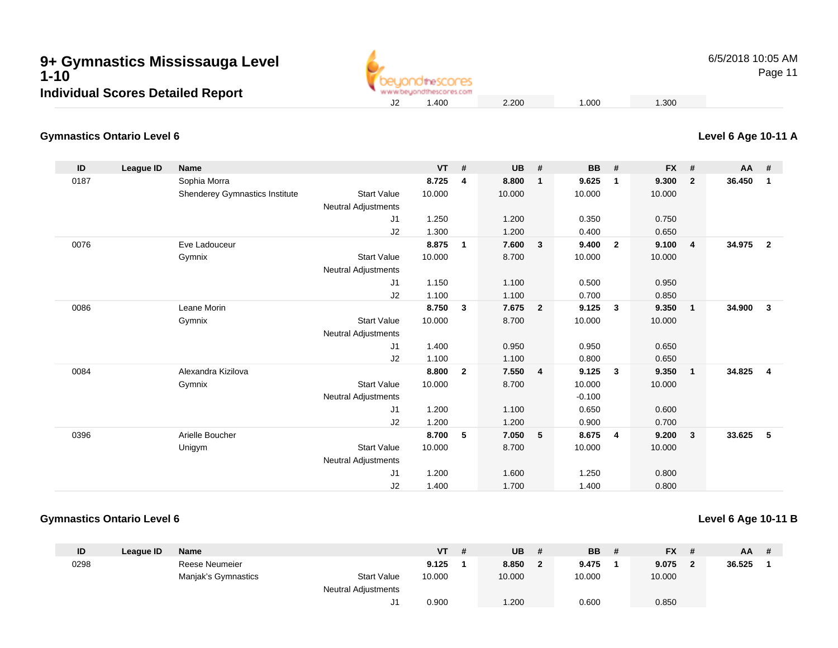

6/5/2018 10:05 AM

Page 11

#### **Gymnastics Ontario Level 6**

| ID   | League ID | <b>Name</b>                    |                            | <b>VT</b> | #                       | <b>UB</b> | #                       | <b>BB</b> | #              | <b>FX</b> | #              | $AA$ # |                         |
|------|-----------|--------------------------------|----------------------------|-----------|-------------------------|-----------|-------------------------|-----------|----------------|-----------|----------------|--------|-------------------------|
| 0187 |           | Sophia Morra                   |                            | 8.725     | 4                       | 8.800     | $\mathbf{1}$            | 9.625     | $\mathbf 1$    | 9.300     | $\overline{2}$ | 36.450 | $\overline{1}$          |
|      |           | Shenderey Gymnastics Institute | <b>Start Value</b>         | 10.000    |                         | 10.000    |                         | 10.000    |                | 10.000    |                |        |                         |
|      |           |                                | <b>Neutral Adjustments</b> |           |                         |           |                         |           |                |           |                |        |                         |
|      |           |                                | J1                         | 1.250     |                         | 1.200     |                         | 0.350     |                | 0.750     |                |        |                         |
|      |           |                                | J2                         | 1.300     |                         | 1.200     |                         | 0.400     |                | 0.650     |                |        |                         |
| 0076 |           | Eve Ladouceur                  |                            | 8.875     | $\mathbf{1}$            | 7.600     | $\overline{\mathbf{3}}$ | 9.400     | $\overline{2}$ | 9.100     | 4              | 34.975 | $\overline{2}$          |
|      |           | Gymnix                         | <b>Start Value</b>         | 10.000    |                         | 8.700     |                         | 10.000    |                | 10.000    |                |        |                         |
|      |           |                                | <b>Neutral Adjustments</b> |           |                         |           |                         |           |                |           |                |        |                         |
|      |           |                                | J1                         | 1.150     |                         | 1.100     |                         | 0.500     |                | 0.950     |                |        |                         |
|      |           |                                | J2                         | 1.100     |                         | 1.100     |                         | 0.700     |                | 0.850     |                |        |                         |
| 0086 |           | Leane Morin                    |                            | 8.750     | 3                       | 7.675     | $\overline{\mathbf{2}}$ | 9.125     | 3              | 9.350     | $\mathbf{1}$   | 34.900 | 3                       |
|      |           | Gymnix                         | <b>Start Value</b>         | 10.000    |                         | 8.700     |                         | 10.000    |                | 10.000    |                |        |                         |
|      |           |                                | <b>Neutral Adjustments</b> |           |                         |           |                         |           |                |           |                |        |                         |
|      |           |                                | J1                         | 1.400     |                         | 0.950     |                         | 0.950     |                | 0.650     |                |        |                         |
|      |           |                                | J2                         | 1.100     |                         | 1.100     |                         | 0.800     |                | 0.650     |                |        |                         |
| 0084 |           | Alexandra Kizilova             |                            | 8.800     | $\overline{\mathbf{2}}$ | 7.550     | $\overline{4}$          | 9.125     | 3              | 9.350     | $\mathbf{1}$   | 34.825 | $\overline{\mathbf{4}}$ |
|      |           | Gymnix                         | <b>Start Value</b>         | 10.000    |                         | 8.700     |                         | 10.000    |                | 10.000    |                |        |                         |
|      |           |                                | <b>Neutral Adjustments</b> |           |                         |           |                         | $-0.100$  |                |           |                |        |                         |
|      |           |                                | J1                         | 1.200     |                         | 1.100     |                         | 0.650     |                | 0.600     |                |        |                         |
|      |           |                                | J2                         | 1.200     |                         | 1.200     |                         | 0.900     |                | 0.700     |                |        |                         |
| 0396 |           | Arielle Boucher                |                            | 8.700     | 5                       | 7.050     | 5                       | 8.675     | 4              | 9.200     | $\mathbf{3}$   | 33.625 | $-5$                    |
|      |           | Unigym                         | <b>Start Value</b>         | 10.000    |                         | 8.700     |                         | 10.000    |                | 10.000    |                |        |                         |
|      |           |                                | <b>Neutral Adjustments</b> |           |                         |           |                         |           |                |           |                |        |                         |
|      |           |                                | J1                         | 1.200     |                         | 1.600     |                         | 1.250     |                | 0.800     |                |        |                         |
|      |           |                                | J2                         | 1.400     |                         | 1.700     |                         | 1.400     |                | 0.800     |                |        |                         |

#### **Gymnastics Ontario Level 6**

#### **Level 6 Age 10-11 B**

| ID   | League ID | <b>Name</b>         |                            | <b>VT</b> | # | <b>UB</b> | <b>BB</b> | <b>FX</b> |   | AA     | # |
|------|-----------|---------------------|----------------------------|-----------|---|-----------|-----------|-----------|---|--------|---|
| 0298 |           | Reese Neumeier      |                            | 9.125     |   | 8.850     | 9.475     | 9.075     | ◠ | 36.525 |   |
|      |           | Manjak's Gymnastics | <b>Start Value</b>         | 10.000    |   | 10.000    | 10.000    | 10.000    |   |        |   |
|      |           |                     | <b>Neutral Adjustments</b> |           |   |           |           |           |   |        |   |
|      |           |                     | J1                         | 0.900     |   | 1.200     | 0.600     | 0.850     |   |        |   |

**Level 6 Age 10-11 A**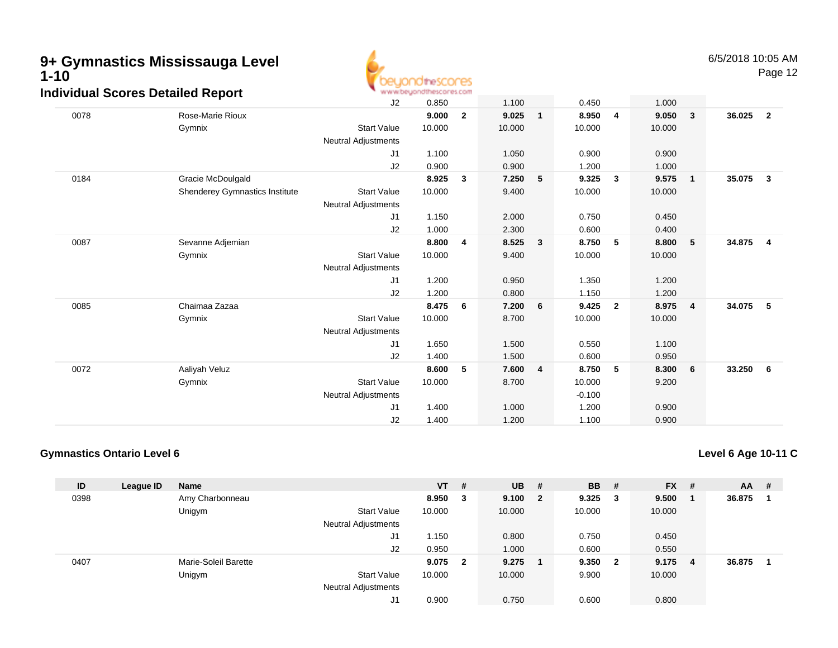

Page 12

| arriadar Ocorco Dotanca Report |                                | J2                         | 0.850  |              | 1.100  |                         | 0.450    |                | 1.000  |                         |        |                         |
|--------------------------------|--------------------------------|----------------------------|--------|--------------|--------|-------------------------|----------|----------------|--------|-------------------------|--------|-------------------------|
| 0078                           | Rose-Marie Rioux               |                            | 9.000  | $\mathbf{2}$ | 9.025  | $\overline{\mathbf{1}}$ | 8.950    | $\overline{4}$ | 9.050  | $\overline{\mathbf{3}}$ | 36.025 | $\overline{2}$          |
|                                | Gymnix                         | <b>Start Value</b>         | 10.000 |              | 10.000 |                         | 10.000   |                | 10.000 |                         |        |                         |
|                                |                                | Neutral Adjustments        |        |              |        |                         |          |                |        |                         |        |                         |
|                                |                                | J1                         | 1.100  |              | 1.050  |                         | 0.900    |                | 0.900  |                         |        |                         |
|                                |                                | J2                         | 0.900  |              | 0.900  |                         | 1.200    |                | 1.000  |                         |        |                         |
| 0184                           | Gracie McDoulgald              |                            | 8.925  | 3            | 7.250  | 5                       | 9.325    | 3              | 9.575  | $\overline{1}$          | 35.075 | $\overline{\mathbf{3}}$ |
|                                | Shenderey Gymnastics Institute | <b>Start Value</b>         | 10.000 |              | 9.400  |                         | 10.000   |                | 10.000 |                         |        |                         |
|                                |                                | Neutral Adjustments        |        |              |        |                         |          |                |        |                         |        |                         |
|                                |                                | J1                         | 1.150  |              | 2.000  |                         | 0.750    |                | 0.450  |                         |        |                         |
|                                |                                | J2                         | 1.000  |              | 2.300  |                         | 0.600    |                | 0.400  |                         |        |                         |
| 0087                           | Sevanne Adjemian               |                            | 8.800  | 4            | 8.525  | 3                       | 8.750    | 5              | 8.800  | $-5$                    | 34.875 | $\overline{\mathbf{4}}$ |
|                                | Gymnix                         | <b>Start Value</b>         | 10.000 |              | 9.400  |                         | 10.000   |                | 10.000 |                         |        |                         |
|                                |                                | Neutral Adjustments        |        |              |        |                         |          |                |        |                         |        |                         |
|                                |                                | J1                         | 1.200  |              | 0.950  |                         | 1.350    |                | 1.200  |                         |        |                         |
|                                |                                | J2                         | 1.200  |              | 0.800  |                         | 1.150    |                | 1.200  |                         |        |                         |
| 0085                           | Chaimaa Zazaa                  |                            | 8.475  | 6            | 7.200  | 6                       | 9.425    | $\mathbf{2}$   | 8.975  | $\overline{\mathbf{4}}$ | 34.075 | 5                       |
|                                | Gymnix                         | <b>Start Value</b>         | 10.000 |              | 8.700  |                         | 10.000   |                | 10.000 |                         |        |                         |
|                                |                                | <b>Neutral Adjustments</b> |        |              |        |                         |          |                |        |                         |        |                         |
|                                |                                | J1                         | 1.650  |              | 1.500  |                         | 0.550    |                | 1.100  |                         |        |                         |
|                                |                                | J2                         | 1.400  |              | 1.500  |                         | 0.600    |                | 0.950  |                         |        |                         |
| 0072                           | Aaliyah Veluz                  |                            | 8.600  | 5            | 7.600  | $\overline{4}$          | 8.750    | 5              | 8.300  | 6                       | 33.250 | 6                       |
|                                | Gymnix                         | <b>Start Value</b>         | 10.000 |              | 8.700  |                         | 10.000   |                | 9.200  |                         |        |                         |
|                                |                                | <b>Neutral Adjustments</b> |        |              |        |                         | $-0.100$ |                |        |                         |        |                         |
|                                |                                | J1                         | 1.400  |              | 1.000  |                         | 1.200    |                | 0.900  |                         |        |                         |
|                                |                                | J2                         | 1.400  |              | 1.200  |                         | 1.100    |                | 0.900  |                         |        |                         |

### **Gymnastics Ontario Level 6**

**Level 6 Age 10-11 C**

| ID   | League ID | <b>Name</b>          |                            | $VT$ # |                         | <b>UB</b> | - #                     | <b>BB</b> | -#                      | <b>FX</b> | # | $AA$ # |  |
|------|-----------|----------------------|----------------------------|--------|-------------------------|-----------|-------------------------|-----------|-------------------------|-----------|---|--------|--|
| 0398 |           | Amy Charbonneau      |                            | 8.950  | 3                       | 9.100     | $\overline{\mathbf{2}}$ | 9.325     | - 3                     | 9.500     |   | 36.875 |  |
|      |           | Unigym               | <b>Start Value</b>         | 10.000 |                         | 10.000    |                         | 10.000    |                         | 10.000    |   |        |  |
|      |           |                      | <b>Neutral Adjustments</b> |        |                         |           |                         |           |                         |           |   |        |  |
|      |           |                      | J1                         | 1.150  |                         | 0.800     |                         | 0.750     |                         | 0.450     |   |        |  |
|      |           |                      | J2                         | 0.950  |                         | 1.000     |                         | 0.600     |                         | 0.550     |   |        |  |
| 0407 |           | Marie-Soleil Barette |                            | 9.075  | $\overline{\mathbf{2}}$ | 9.275     |                         | 9.350     | $\overline{\mathbf{2}}$ | 9.175     | 4 | 36.875 |  |
|      |           | Unigym               | <b>Start Value</b>         | 10.000 |                         | 10.000    |                         | 9.900     |                         | 10.000    |   |        |  |
|      |           |                      | <b>Neutral Adjustments</b> |        |                         |           |                         |           |                         |           |   |        |  |
|      |           |                      | J1                         | 0.900  |                         | 0.750     |                         | 0.600     |                         | 0.800     |   |        |  |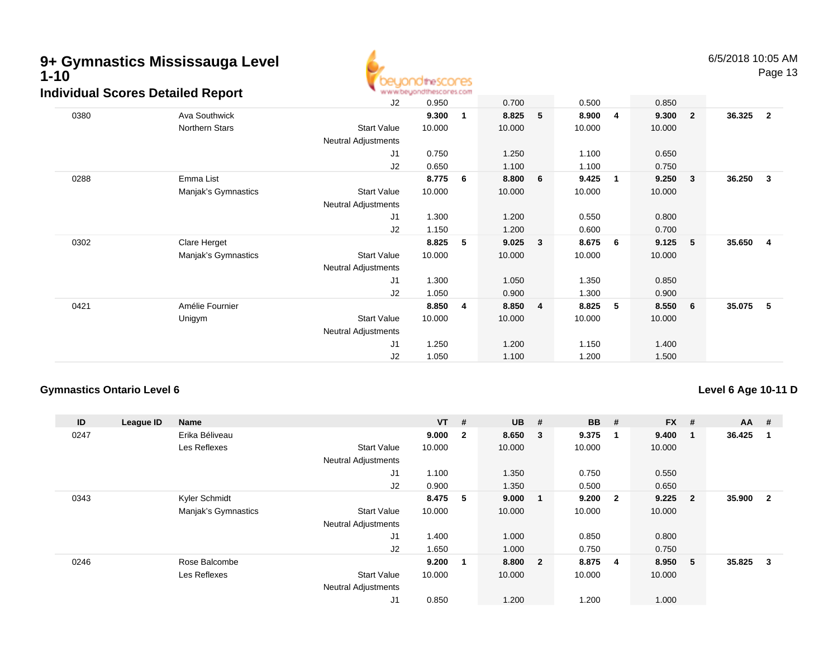

Page 13

| aiviauai Scores Detailed Report |                     | <b>MAIN AN DRAMAL IO IL INDICOL INDUSTRIE</b> |        |   |        |                         |        |                |        |                         |        |                |
|---------------------------------|---------------------|-----------------------------------------------|--------|---|--------|-------------------------|--------|----------------|--------|-------------------------|--------|----------------|
|                                 |                     | J2                                            | 0.950  |   | 0.700  |                         | 0.500  |                | 0.850  |                         |        |                |
| 0380                            | Ava Southwick       |                                               | 9.300  | 1 | 8.825  | 5                       | 8.900  | $\overline{4}$ | 9.300  | $\overline{\mathbf{2}}$ | 36.325 | $\overline{2}$ |
|                                 | Northern Stars      | <b>Start Value</b>                            | 10.000 |   | 10.000 |                         | 10.000 |                | 10.000 |                         |        |                |
|                                 |                     | Neutral Adjustments                           |        |   |        |                         |        |                |        |                         |        |                |
|                                 |                     | J1                                            | 0.750  |   | 1.250  |                         | 1.100  |                | 0.650  |                         |        |                |
|                                 |                     | J2                                            | 0.650  |   | 1.100  |                         | 1.100  |                | 0.750  |                         |        |                |
| 0288                            | Emma List           |                                               | 8.775  | 6 | 8.800  | 6                       | 9.425  | $\overline{1}$ | 9.250  | $\overline{\mathbf{3}}$ | 36.250 | $\mathbf{3}$   |
|                                 | Manjak's Gymnastics | <b>Start Value</b>                            | 10.000 |   | 10.000 |                         | 10.000 |                | 10.000 |                         |        |                |
|                                 |                     | <b>Neutral Adjustments</b>                    |        |   |        |                         |        |                |        |                         |        |                |
|                                 |                     | J <sub>1</sub>                                | 1.300  |   | 1.200  |                         | 0.550  |                | 0.800  |                         |        |                |
|                                 |                     | J2                                            | 1.150  |   | 1.200  |                         | 0.600  |                | 0.700  |                         |        |                |
| 0302                            | Clare Herget        |                                               | 8.825  | 5 | 9.025  | 3                       | 8.675  | - 6            | 9.125  | 5                       | 35.650 | -4             |
|                                 | Manjak's Gymnastics | <b>Start Value</b>                            | 10.000 |   | 10.000 |                         | 10.000 |                | 10.000 |                         |        |                |
|                                 |                     | <b>Neutral Adjustments</b>                    |        |   |        |                         |        |                |        |                         |        |                |
|                                 |                     | J <sub>1</sub>                                | 1.300  |   | 1.050  |                         | 1.350  |                | 0.850  |                         |        |                |
|                                 |                     | J2                                            | 1.050  |   | 0.900  |                         | 1.300  |                | 0.900  |                         |        |                |
| 0421                            | Amélie Fournier     |                                               | 8.850  | 4 | 8.850  | $\overline{\mathbf{4}}$ | 8.825  | 5              | 8.550  | 6                       | 35.075 | 5              |
|                                 | Unigym              | <b>Start Value</b>                            | 10.000 |   | 10.000 |                         | 10.000 |                | 10.000 |                         |        |                |
|                                 |                     | Neutral Adjustments                           |        |   |        |                         |        |                |        |                         |        |                |
|                                 |                     | J1                                            | 1.250  |   | 1.200  |                         | 1.150  |                | 1.400  |                         |        |                |
|                                 |                     | J2                                            | 1.050  |   | 1.100  |                         | 1.200  |                | 1.500  |                         |        |                |
|                                 |                     |                                               |        |   |        |                         |        |                |        |                         |        |                |

### **Gymnastics Ontario Level 6**

### **Level 6 Age 10-11 D**

| ID   | League ID | <b>Name</b>         |                            | $VT$ # |                | <b>UB</b> | #                       | <b>BB</b> | #                       | <b>FX</b> | #              | $AA$ # |                |
|------|-----------|---------------------|----------------------------|--------|----------------|-----------|-------------------------|-----------|-------------------------|-----------|----------------|--------|----------------|
| 0247 |           | Erika Béliveau      |                            | 9.000  | $\overline{2}$ | 8.650     | $\overline{\mathbf{3}}$ | 9.375     | -1                      | 9.400     |                | 36.425 |                |
|      |           | Les Reflexes        | <b>Start Value</b>         | 10.000 |                | 10.000    |                         | 10.000    |                         | 10.000    |                |        |                |
|      |           |                     | <b>Neutral Adjustments</b> |        |                |           |                         |           |                         |           |                |        |                |
|      |           |                     | J1                         | 1.100  |                | 1.350     |                         | 0.750     |                         | 0.550     |                |        |                |
|      |           |                     | J2                         | 0.900  |                | 1.350     |                         | 0.500     |                         | 0.650     |                |        |                |
| 0343 |           | Kyler Schmidt       |                            | 8.475  | 5              | 9.000     | $\overline{\mathbf{1}}$ | 9.200     | $\overline{\mathbf{2}}$ | 9.225     | $\overline{2}$ | 35.900 | $\overline{2}$ |
|      |           | Manjak's Gymnastics | <b>Start Value</b>         | 10.000 |                | 10.000    |                         | 10.000    |                         | 10.000    |                |        |                |
|      |           |                     | <b>Neutral Adjustments</b> |        |                |           |                         |           |                         |           |                |        |                |
|      |           |                     | J <sub>1</sub>             | 1.400  |                | 1.000     |                         | 0.850     |                         | 0.800     |                |        |                |
|      |           |                     | J2                         | 1.650  |                | 1.000     |                         | 0.750     |                         | 0.750     |                |        |                |
| 0246 |           | Rose Balcombe       |                            | 9.200  | -1             | 8.800 2   |                         | 8.875     | $\overline{\mathbf{4}}$ | 8.950     | 5              | 35.825 | 3              |
|      |           | Les Reflexes        | <b>Start Value</b>         | 10.000 |                | 10.000    |                         | 10.000    |                         | 10.000    |                |        |                |
|      |           |                     | <b>Neutral Adjustments</b> |        |                |           |                         |           |                         |           |                |        |                |
|      |           |                     | J1                         | 0.850  |                | 1.200     |                         | 1.200     |                         | 1.000     |                |        |                |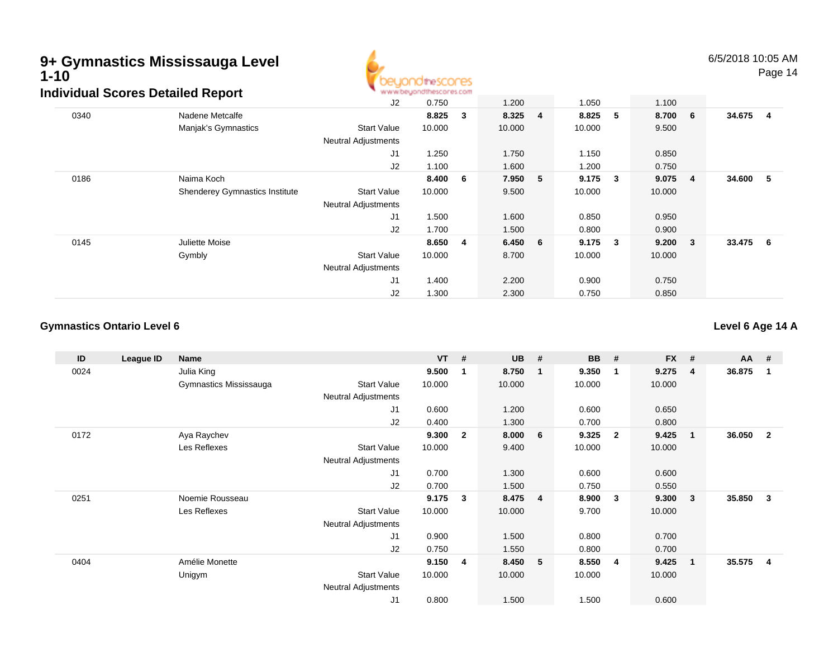

6/5/2018 10:05 AM

Page 14

|      | <u>alviadal 900100 Dotalioa Ropolt</u> | J <sub>2</sub>             | 0.750  |     | 1.200   |                | 1.050  |              | 1.100        |                |          |  |
|------|----------------------------------------|----------------------------|--------|-----|---------|----------------|--------|--------------|--------------|----------------|----------|--|
| 0340 | Nadene Metcalfe                        |                            | 8.825  | 3   | 8.325   | $\overline{4}$ | 8.825  | 5            | 8.700 6      |                | 34.675 4 |  |
|      | Manjak's Gymnastics                    | <b>Start Value</b>         | 10.000 |     | 10.000  |                | 10.000 |              | 9.500        |                |          |  |
|      |                                        | <b>Neutral Adjustments</b> |        |     |         |                |        |              |              |                |          |  |
|      |                                        | J1                         | 1.250  |     | 1.750   |                | 1.150  |              | 0.850        |                |          |  |
|      |                                        | J2                         | 1.100  |     | 1.600   |                | 1.200  |              | 0.750        |                |          |  |
| 0186 | Naima Koch                             |                            | 8.400  | - 6 | 7.950   | -5             | 9.175  | 3            | 9.075        | $\overline{4}$ | 34.600 5 |  |
|      | <b>Shenderey Gymnastics Institute</b>  | <b>Start Value</b>         | 10.000 |     | 9.500   |                | 10.000 |              | 10.000       |                |          |  |
|      |                                        | <b>Neutral Adjustments</b> |        |     |         |                |        |              |              |                |          |  |
|      |                                        | J1                         | 1.500  |     | 1.600   |                | 0.850  |              | 0.950        |                |          |  |
|      |                                        | J <sub>2</sub>             | 1.700  |     | 1.500   |                | 0.800  |              | 0.900        |                |          |  |
| 0145 | Juliette Moise                         |                            | 8.650  | 4   | 6.450 6 |                | 9.175  | $\mathbf{3}$ | $9.200 \t 3$ |                | 33.475 6 |  |
|      | Gymbly                                 | <b>Start Value</b>         | 10.000 |     | 8.700   |                | 10.000 |              | 10.000       |                |          |  |
|      |                                        | <b>Neutral Adjustments</b> |        |     |         |                |        |              |              |                |          |  |
|      |                                        | J <sub>1</sub>             | 1.400  |     | 2.200   |                | 0.900  |              | 0.750        |                |          |  |
|      |                                        | J2                         | 1.300  |     | 2.300   |                | 0.750  |              | 0.850        |                |          |  |

#### **Gymnastics Ontario Level 6**

**Level 6 Age 14 A**

| ID   | League ID | Name                   |                            | <b>VT</b> | #              | <b>UB</b> | #              | <b>BB</b> | #              | <b>FX</b> | #              | $AA$ # |                |
|------|-----------|------------------------|----------------------------|-----------|----------------|-----------|----------------|-----------|----------------|-----------|----------------|--------|----------------|
| 0024 |           | Julia King             |                            | 9.500     |                | 8.750     | - 1            | 9.350     | -1             | 9.275     | $\overline{4}$ | 36.875 |                |
|      |           | Gymnastics Mississauga | <b>Start Value</b>         | 10.000    |                | 10.000    |                | 10.000    |                | 10.000    |                |        |                |
|      |           |                        | <b>Neutral Adjustments</b> |           |                |           |                |           |                |           |                |        |                |
|      |           |                        | J1                         | 0.600     |                | 1.200     |                | 0.600     |                | 0.650     |                |        |                |
|      |           |                        | J2                         | 0.400     |                | 1.300     |                | 0.700     |                | 0.800     |                |        |                |
| 0172 |           | Aya Raychev            |                            | 9.300     | $\overline{2}$ | 8.000     | - 6            | 9.325     | $\overline{2}$ | 9.425     | $\mathbf 1$    | 36.050 | $\overline{2}$ |
|      |           | Les Reflexes           | <b>Start Value</b>         | 10.000    |                | 9.400     |                | 10.000    |                | 10.000    |                |        |                |
|      |           |                        | Neutral Adjustments        |           |                |           |                |           |                |           |                |        |                |
|      |           |                        | J1                         | 0.700     |                | 1.300     |                | 0.600     |                | 0.600     |                |        |                |
|      |           |                        | J2                         | 0.700     |                | 1.500     |                | 0.750     |                | 0.550     |                |        |                |
| 0251 |           | Noemie Rousseau        |                            | 9.175     | 3              | 8.475     | $\overline{4}$ | 8.900     | 3              | 9.300     | 3              | 35.850 | 3              |
|      |           | Les Reflexes           | <b>Start Value</b>         | 10.000    |                | 10.000    |                | 9.700     |                | 10.000    |                |        |                |
|      |           |                        | <b>Neutral Adjustments</b> |           |                |           |                |           |                |           |                |        |                |
|      |           |                        | J1                         | 0.900     |                | 1.500     |                | 0.800     |                | 0.700     |                |        |                |
|      |           |                        | J2                         | 0.750     |                | 1.550     |                | 0.800     |                | 0.700     |                |        |                |
| 0404 |           | Amélie Monette         |                            | 9.150     | - 4            | 8.450     | - 5            | 8.550     | -4             | 9.425     | 1              | 35.575 | $\overline{4}$ |
|      |           | Unigym                 | <b>Start Value</b>         | 10.000    |                | 10.000    |                | 10.000    |                | 10.000    |                |        |                |
|      |           |                        | <b>Neutral Adjustments</b> |           |                |           |                |           |                |           |                |        |                |
|      |           |                        | J1                         | 0.800     |                | 1.500     |                | 1.500     |                | 0.600     |                |        |                |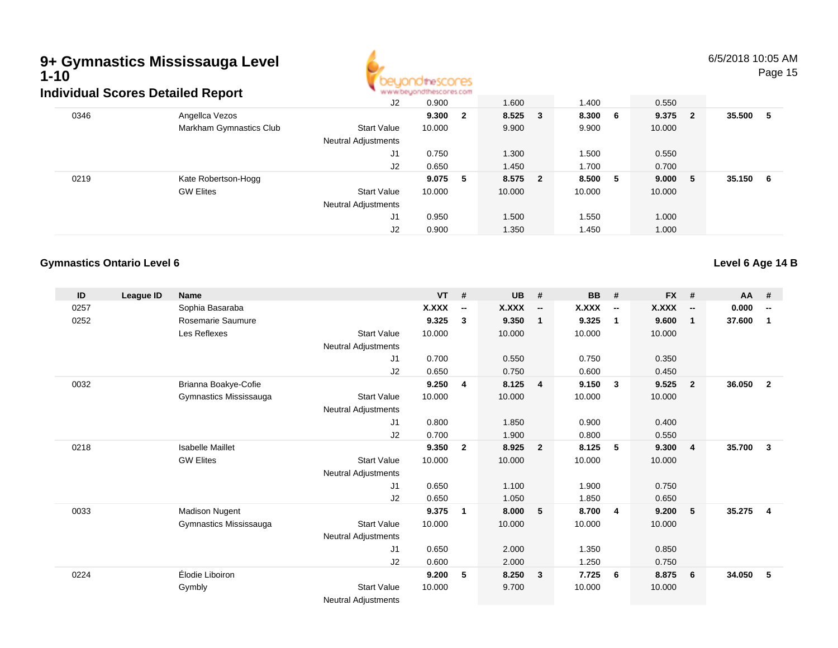# **9+ Gymnastics Mississauga Level 1-10**



6/5/2018 10:05 AMPage 15

|      | Individual Scores Detailed Report |                            | www.beyondthescores.com |                         |        |     |         |         |        |     |
|------|-----------------------------------|----------------------------|-------------------------|-------------------------|--------|-----|---------|---------|--------|-----|
|      |                                   | J2                         | 0.900                   |                         | 1.600  |     | 1.400   | 0.550   |        |     |
| 0346 | Angellca Vezos                    |                            | 9.300                   | $\overline{\mathbf{2}}$ | 8.525  | 3   | 8.300 6 | 9.375 2 | 35.500 | - 5 |
|      | Markham Gymnastics Club           | <b>Start Value</b>         | 10.000                  |                         | 9.900  |     | 9.900   | 10.000  |        |     |
|      |                                   | <b>Neutral Adjustments</b> |                         |                         |        |     |         |         |        |     |
|      |                                   | J1                         | 0.750                   |                         | 1.300  |     | 1.500   | 0.550   |        |     |
|      |                                   | J2                         | 0.650                   |                         | 1.450  |     | 1.700   | 0.700   |        |     |
| 0219 | Kate Robertson-Hogg               |                            | 9.075 5                 |                         | 8.575  | - 2 | 8.500 5 | 9.000 5 | 35.150 | - 6 |
|      | <b>GW Elites</b>                  | <b>Start Value</b>         | 10.000                  |                         | 10.000 |     | 10.000  | 10.000  |        |     |
|      |                                   | <b>Neutral Adjustments</b> |                         |                         |        |     |         |         |        |     |
|      |                                   | J1                         | 0.950                   |                         | 1.500  |     | 1.550   | 1.000   |        |     |
|      |                                   | J2                         | 0.900                   |                         | 1.350  |     | 1.450   | 1.000   |        |     |

### **Gymnastics Ontario Level 6**

**Level 6 Age 14 B**

| ID   | League ID | <b>Name</b>             |                            | <b>VT</b> | #                        | <b>UB</b> | #                        | <b>BB</b>    | #                        | <b>FX</b>    | #                        | AA     | #                        |
|------|-----------|-------------------------|----------------------------|-----------|--------------------------|-----------|--------------------------|--------------|--------------------------|--------------|--------------------------|--------|--------------------------|
| 0257 |           | Sophia Basaraba         |                            | X.XXX     | $\overline{\phantom{a}}$ | X.XXX     | $\overline{\phantom{a}}$ | <b>X.XXX</b> | $\overline{\phantom{a}}$ | <b>X.XXX</b> | $\overline{\phantom{a}}$ | 0.000  | $\overline{\phantom{a}}$ |
| 0252 |           | Rosemarie Saumure       |                            | 9.325     | 3                        | 9.350     | $\overline{1}$           | 9.325        | $\mathbf{1}$             | 9.600        | $\mathbf{1}$             | 37.600 | 1                        |
|      |           | Les Reflexes            | <b>Start Value</b>         | 10.000    |                          | 10.000    |                          | 10.000       |                          | 10.000       |                          |        |                          |
|      |           |                         | Neutral Adjustments        |           |                          |           |                          |              |                          |              |                          |        |                          |
|      |           |                         | J1                         | 0.700     |                          | 0.550     |                          | 0.750        |                          | 0.350        |                          |        |                          |
|      |           |                         | J2                         | 0.650     |                          | 0.750     |                          | 0.600        |                          | 0.450        |                          |        |                          |
| 0032 |           | Brianna Boakye-Cofie    |                            | 9.250     | 4                        | 8.125     | $\overline{4}$           | 9.150        | $\mathbf{3}$             | 9.525        | $\overline{2}$           | 36.050 | $\overline{2}$           |
|      |           | Gymnastics Mississauga  | <b>Start Value</b>         | 10.000    |                          | 10.000    |                          | 10.000       |                          | 10.000       |                          |        |                          |
|      |           |                         | Neutral Adjustments        |           |                          |           |                          |              |                          |              |                          |        |                          |
|      |           |                         | J1                         | 0.800     |                          | 1.850     |                          | 0.900        |                          | 0.400        |                          |        |                          |
|      |           |                         | J2                         | 0.700     |                          | 1.900     |                          | 0.800        |                          | 0.550        |                          |        |                          |
| 0218 |           | <b>Isabelle Maillet</b> |                            | 9.350     | $\mathbf{2}$             | 8.925     | $\overline{2}$           | 8.125        | 5                        | 9.300        | $\overline{4}$           | 35.700 | $\mathbf{3}$             |
|      |           | <b>GW Elites</b>        | <b>Start Value</b>         | 10.000    |                          | 10.000    |                          | 10.000       |                          | 10.000       |                          |        |                          |
|      |           |                         | <b>Neutral Adjustments</b> |           |                          |           |                          |              |                          |              |                          |        |                          |
|      |           |                         | J1                         | 0.650     |                          | 1.100     |                          | 1.900        |                          | 0.750        |                          |        |                          |
|      |           |                         | J2                         | 0.650     |                          | 1.050     |                          | 1.850        |                          | 0.650        |                          |        |                          |
| 0033 |           | <b>Madison Nugent</b>   |                            | 9.375     | $\mathbf 1$              | 8.000     | 5                        | 8.700        | $\overline{4}$           | 9.200        | 5                        | 35.275 | $\overline{4}$           |
|      |           | Gymnastics Mississauga  | <b>Start Value</b>         | 10.000    |                          | 10.000    |                          | 10.000       |                          | 10.000       |                          |        |                          |
|      |           |                         | Neutral Adjustments        |           |                          |           |                          |              |                          |              |                          |        |                          |
|      |           |                         | J1                         | 0.650     |                          | 2.000     |                          | 1.350        |                          | 0.850        |                          |        |                          |
|      |           |                         | J <sub>2</sub>             | 0.600     |                          | 2.000     |                          | 1.250        |                          | 0.750        |                          |        |                          |
| 0224 |           | Élodie Liboiron         |                            | 9.200     | 5                        | 8.250     | $\overline{\mathbf{3}}$  | 7.725        | - 6                      | 8.875        | 6                        | 34.050 | 5                        |
|      |           | Gymbly                  | <b>Start Value</b>         | 10.000    |                          | 9.700     |                          | 10.000       |                          | 10.000       |                          |        |                          |
|      |           |                         | <b>Neutral Adjustments</b> |           |                          |           |                          |              |                          |              |                          |        |                          |